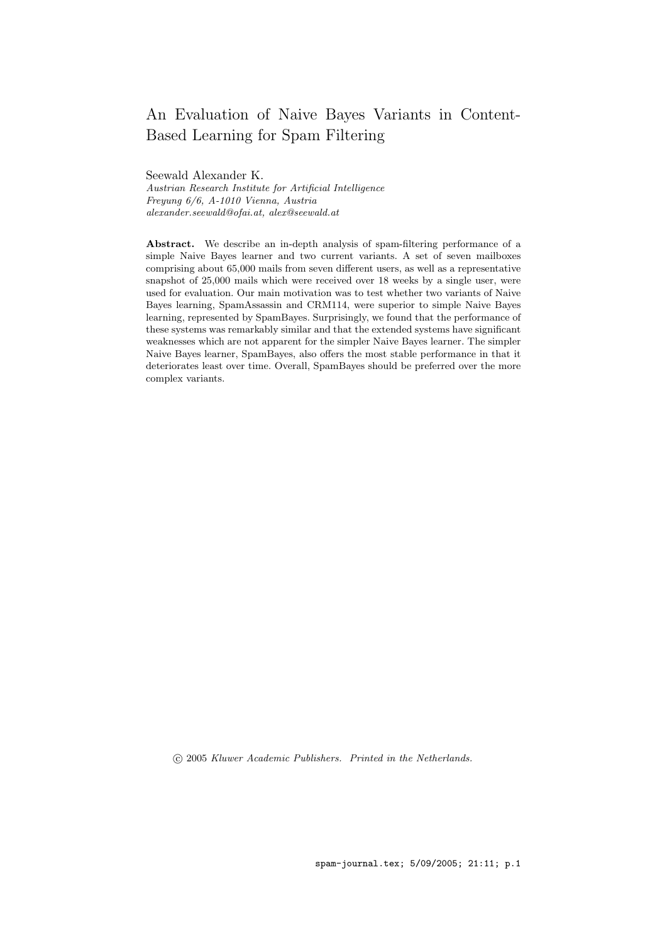# An Evaluation of Naive Bayes Variants in Content-Based Learning for Spam Filtering

Seewald Alexander K. Austrian Research Institute for Artificial Intelligence Freyung 6/6, A-1010 Vienna, Austria alexander.seewald@ofai.at, alex@seewald.at

Abstract. We describe an in-depth analysis of spam-filtering performance of a simple Naive Bayes learner and two current variants. A set of seven mailboxes comprising about 65,000 mails from seven different users, as well as a representative snapshot of 25,000 mails which were received over 18 weeks by a single user, were used for evaluation. Our main motivation was to test whether two variants of Naive Bayes learning, SpamAssassin and CRM114, were superior to simple Naive Bayes learning, represented by SpamBayes. Surprisingly, we found that the performance of these systems was remarkably similar and that the extended systems have significant weaknesses which are not apparent for the simpler Naive Bayes learner. The simpler Naive Bayes learner, SpamBayes, also offers the most stable performance in that it deteriorates least over time. Overall, SpamBayes should be preferred over the more complex variants.

c 2005 Kluwer Academic Publishers. Printed in the Netherlands.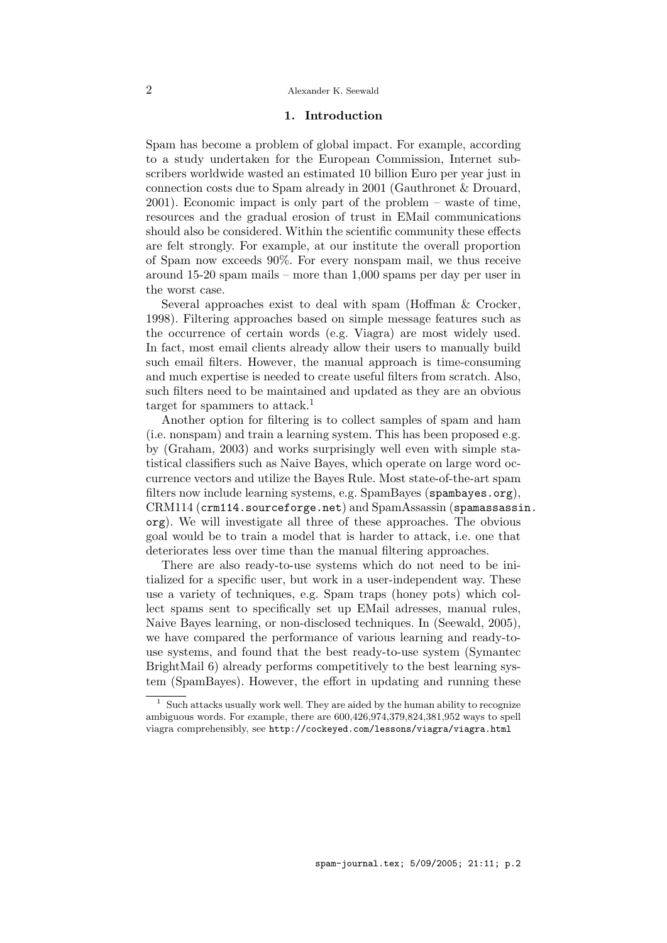# 1. Introduction

Spam has become a problem of global impact. For example, according to a study undertaken for the European Commission, Internet subscribers worldwide wasted an estimated 10 billion Euro per year just in connection costs due to Spam already in 2001 (Gauthronet & Drouard, 2001). Economic impact is only part of the problem – waste of time, resources and the gradual erosion of trust in EMail communications should also be considered. Within the scientific community these effects are felt strongly. For example, at our institute the overall proportion of Spam now exceeds 90%. For every nonspam mail, we thus receive around 15-20 spam mails – more than 1,000 spams per day per user in the worst case.

Several approaches exist to deal with spam (Hoffman & Crocker, 1998). Filtering approaches based on simple message features such as the occurrence of certain words (e.g. Viagra) are most widely used. In fact, most email clients already allow their users to manually build such email filters. However, the manual approach is time-consuming and much expertise is needed to create useful filters from scratch. Also, such filters need to be maintained and updated as they are an obvious target for spammers to attack.<sup>1</sup>

Another option for filtering is to collect samples of spam and ham (i.e. nonspam) and train a learning system. This has been proposed e.g. by (Graham, 2003) and works surprisingly well even with simple statistical classifiers such as Naive Bayes, which operate on large word occurrence vectors and utilize the Bayes Rule. Most state-of-the-art spam filters now include learning systems, e.g. SpamBayes (spambayes.org), CRM114 (crm114.sourceforge.net) and SpamAssassin (spamassassin. org). We will investigate all three of these approaches. The obvious goal would be to train a model that is harder to attack, i.e. one that deteriorates less over time than the manual filtering approaches.

There are also ready-to-use systems which do not need to be initialized for a specific user, but work in a user-independent way. These use a variety of techniques, e.g. Spam traps (honey pots) which collect spams sent to specifically set up EMail adresses, manual rules, Naive Bayes learning, or non-disclosed techniques. In (Seewald, 2005), we have compared the performance of various learning and ready-touse systems, and found that the best ready-to-use system (Symantec BrightMail 6) already performs competitively to the best learning system (SpamBayes). However, the effort in updating and running these

 $1$  Such attacks usually work well. They are aided by the human ability to recognize ambiguous words. For example, there are 600,426,974,379,824,381,952 ways to spell viagra comprehensibly, see http://cockeyed.com/lessons/viagra/viagra.html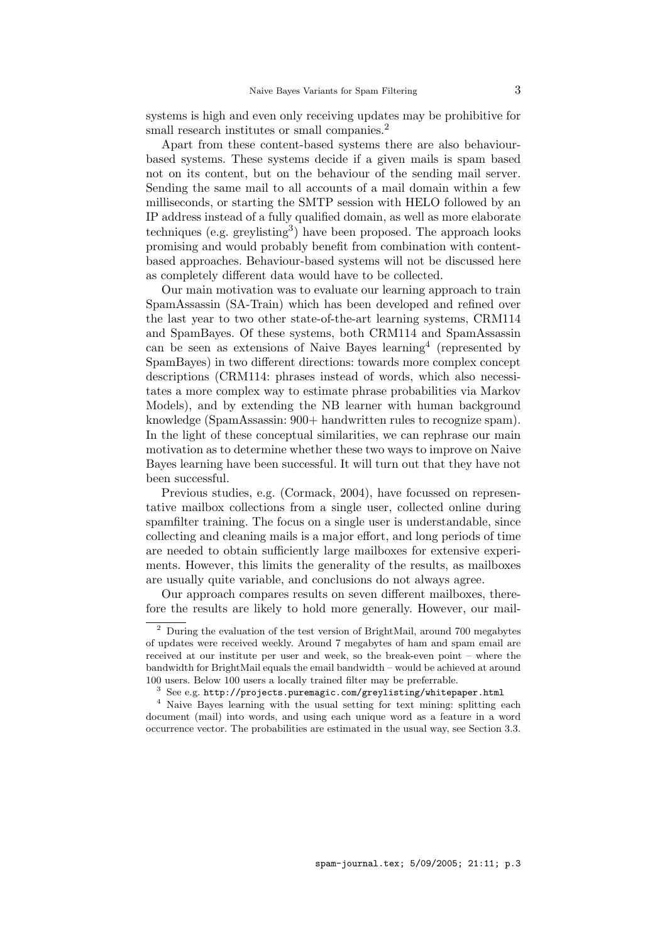systems is high and even only receiving updates may be prohibitive for small research institutes or small companies.<sup>2</sup>

Apart from these content-based systems there are also behaviourbased systems. These systems decide if a given mails is spam based not on its content, but on the behaviour of the sending mail server. Sending the same mail to all accounts of a mail domain within a few milliseconds, or starting the SMTP session with HELO followed by an IP address instead of a fully qualified domain, as well as more elaborate techniques (e.g. greylisting<sup>3</sup>) have been proposed. The approach looks promising and would probably benefit from combination with contentbased approaches. Behaviour-based systems will not be discussed here as completely different data would have to be collected.

Our main motivation was to evaluate our learning approach to train SpamAssassin (SA-Train) which has been developed and refined over the last year to two other state-of-the-art learning systems, CRM114 and SpamBayes. Of these systems, both CRM114 and SpamAssassin can be seen as extensions of Naive Bayes learning<sup>4</sup> (represented by SpamBayes) in two different directions: towards more complex concept descriptions (CRM114: phrases instead of words, which also necessitates a more complex way to estimate phrase probabilities via Markov Models), and by extending the NB learner with human background knowledge (SpamAssassin: 900+ handwritten rules to recognize spam). In the light of these conceptual similarities, we can rephrase our main motivation as to determine whether these two ways to improve on Naive Bayes learning have been successful. It will turn out that they have not been successful.

Previous studies, e.g. (Cormack, 2004), have focussed on representative mailbox collections from a single user, collected online during spamfilter training. The focus on a single user is understandable, since collecting and cleaning mails is a major effort, and long periods of time are needed to obtain sufficiently large mailboxes for extensive experiments. However, this limits the generality of the results, as mailboxes are usually quite variable, and conclusions do not always agree.

Our approach compares results on seven different mailboxes, therefore the results are likely to hold more generally. However, our mail-

 $^2\,$  During the evaluation of the test version of BrightMail, around 700 megabytes of updates were received weekly. Around 7 megabytes of ham and spam email are received at our institute per user and week, so the break-even point – where the bandwidth for BrightMail equals the email bandwidth – would be achieved at around 100 users. Below 100 users a locally trained filter may be preferrable.

See e.g. http://projects.puremagic.com/greylisting/whitepaper.html

<sup>4</sup> Naive Bayes learning with the usual setting for text mining: splitting each document (mail) into words, and using each unique word as a feature in a word occurrence vector. The probabilities are estimated in the usual way, see Section 3.3.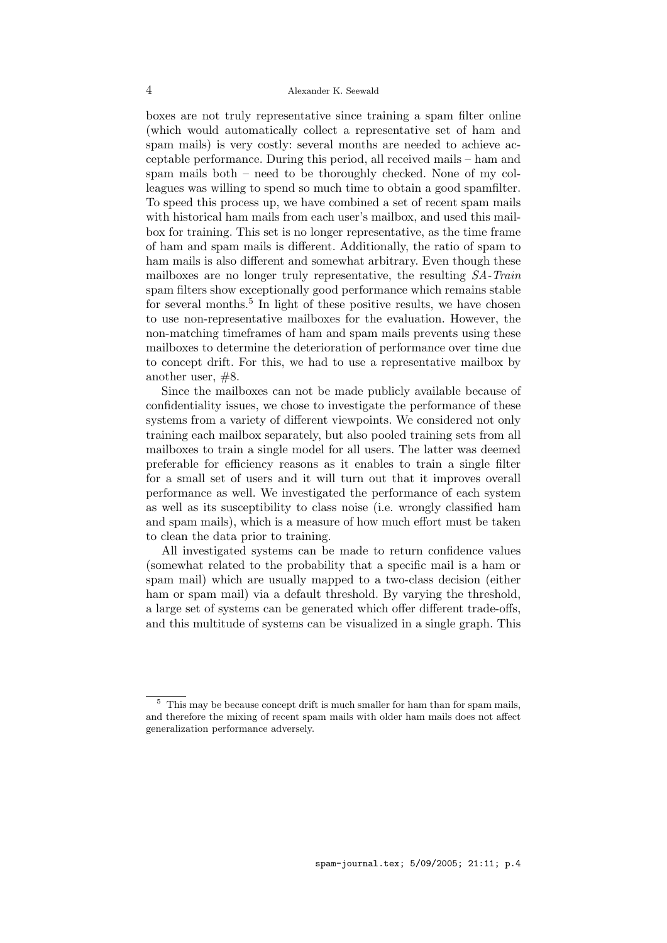boxes are not truly representative since training a spam filter online (which would automatically collect a representative set of ham and spam mails) is very costly: several months are needed to achieve acceptable performance. During this period, all received mails – ham and spam mails both – need to be thoroughly checked. None of my colleagues was willing to spend so much time to obtain a good spamfilter. To speed this process up, we have combined a set of recent spam mails with historical ham mails from each user's mailbox, and used this mailbox for training. This set is no longer representative, as the time frame of ham and spam mails is different. Additionally, the ratio of spam to ham mails is also different and somewhat arbitrary. Even though these mailboxes are no longer truly representative, the resulting SA-Train spam filters show exceptionally good performance which remains stable for several months.<sup>5</sup> In light of these positive results, we have chosen to use non-representative mailboxes for the evaluation. However, the non-matching timeframes of ham and spam mails prevents using these mailboxes to determine the deterioration of performance over time due to concept drift. For this, we had to use a representative mailbox by another user, #8.

Since the mailboxes can not be made publicly available because of confidentiality issues, we chose to investigate the performance of these systems from a variety of different viewpoints. We considered not only training each mailbox separately, but also pooled training sets from all mailboxes to train a single model for all users. The latter was deemed preferable for efficiency reasons as it enables to train a single filter for a small set of users and it will turn out that it improves overall performance as well. We investigated the performance of each system as well as its susceptibility to class noise (i.e. wrongly classified ham and spam mails), which is a measure of how much effort must be taken to clean the data prior to training.

All investigated systems can be made to return confidence values (somewhat related to the probability that a specific mail is a ham or spam mail) which are usually mapped to a two-class decision (either ham or spam mail) via a default threshold. By varying the threshold, a large set of systems can be generated which offer different trade-offs, and this multitude of systems can be visualized in a single graph. This

 $5$  This may be because concept drift is much smaller for ham than for spam mails, and therefore the mixing of recent spam mails with older ham mails does not affect generalization performance adversely.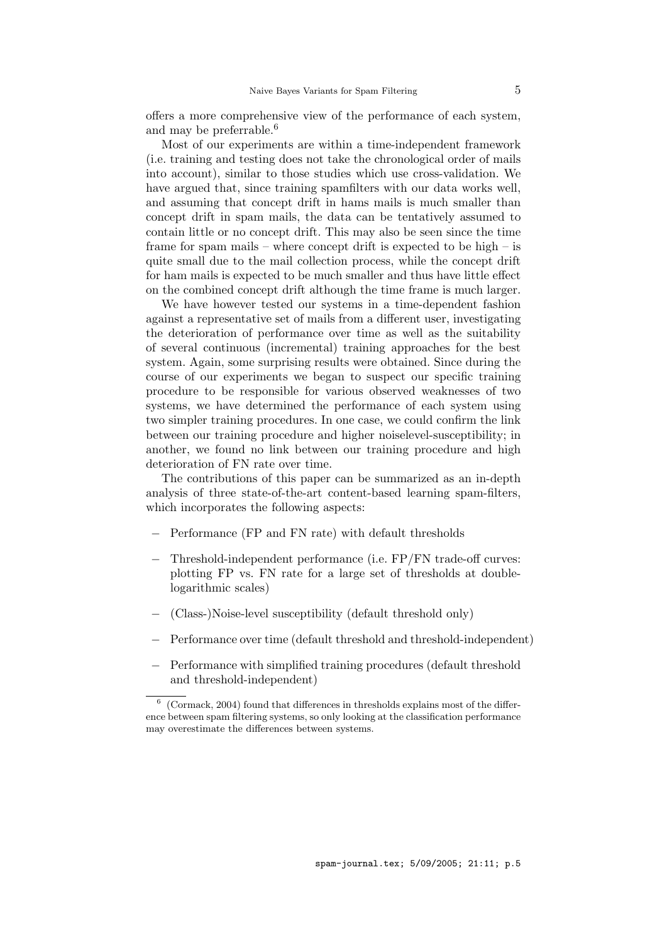offers a more comprehensive view of the performance of each system, and may be preferrable.<sup>6</sup>

Most of our experiments are within a time-independent framework (i.e. training and testing does not take the chronological order of mails into account), similar to those studies which use cross-validation. We have argued that, since training spamfilters with our data works well, and assuming that concept drift in hams mails is much smaller than concept drift in spam mails, the data can be tentatively assumed to contain little or no concept drift. This may also be seen since the time frame for spam mails – where concept drift is expected to be high – is quite small due to the mail collection process, while the concept drift for ham mails is expected to be much smaller and thus have little effect on the combined concept drift although the time frame is much larger.

We have however tested our systems in a time-dependent fashion against a representative set of mails from a different user, investigating the deterioration of performance over time as well as the suitability of several continuous (incremental) training approaches for the best system. Again, some surprising results were obtained. Since during the course of our experiments we began to suspect our specific training procedure to be responsible for various observed weaknesses of two systems, we have determined the performance of each system using two simpler training procedures. In one case, we could confirm the link between our training procedure and higher noiselevel-susceptibility; in another, we found no link between our training procedure and high deterioration of FN rate over time.

The contributions of this paper can be summarized as an in-depth analysis of three state-of-the-art content-based learning spam-filters, which incorporates the following aspects:

- − Performance (FP and FN rate) with default thresholds
- − Threshold-independent performance (i.e. FP/FN trade-off curves: plotting FP vs. FN rate for a large set of thresholds at doublelogarithmic scales)
- − (Class-)Noise-level susceptibility (default threshold only)
- − Performance over time (default threshold and threshold-independent)
- − Performance with simplified training procedures (default threshold and threshold-independent)

<sup>6</sup> (Cormack, 2004) found that differences in thresholds explains most of the difference between spam filtering systems, so only looking at the classification performance may overestimate the differences between systems.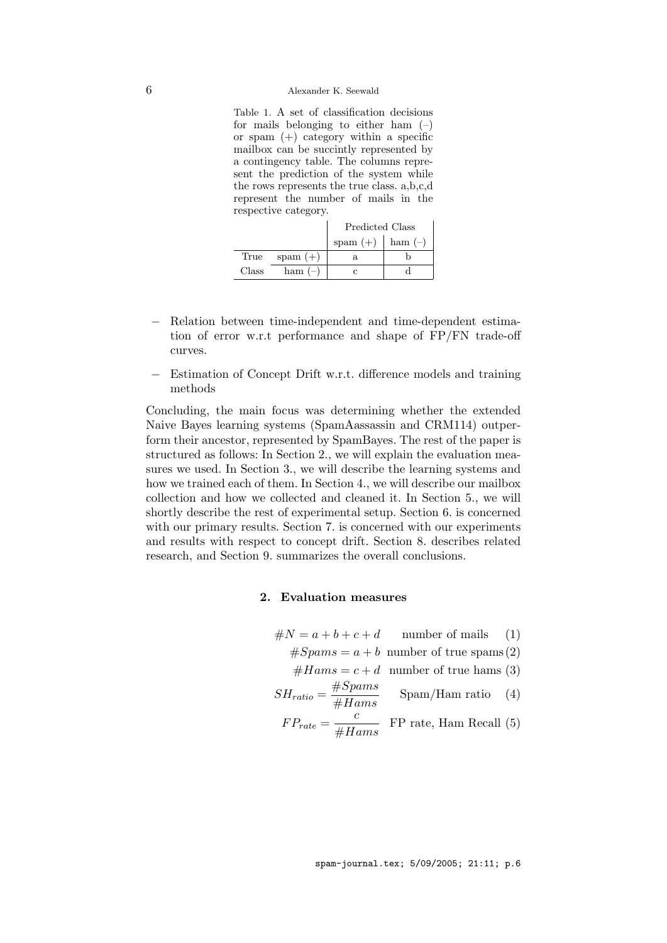#### 6 Alexander K. Seewald

Table 1. A set of classification decisions for mails belonging to either ham  $(-)$ or spam  $(+)$  category within a specific mailbox can be succintly represented by a contingency table. The columns represent the prediction of the system while the rows represents the true class. a,b,c,d represent the number of mails in the respective category.

|       |            | Predicted Class |           |  |
|-------|------------|-----------------|-----------|--|
|       |            | spam $(+)$      | ham $(-)$ |  |
| True  | spam $(+)$ | a.              |           |  |
| Class | ham $(-)$  |                 |           |  |

- − Relation between time-independent and time-dependent estimation of error w.r.t performance and shape of FP/FN trade-off curves.
- − Estimation of Concept Drift w.r.t. difference models and training methods

Concluding, the main focus was determining whether the extended Naive Bayes learning systems (SpamAassassin and CRM114) outperform their ancestor, represented by SpamBayes. The rest of the paper is structured as follows: In Section 2., we will explain the evaluation measures we used. In Section 3., we will describe the learning systems and how we trained each of them. In Section 4., we will describe our mailbox collection and how we collected and cleaned it. In Section 5., we will shortly describe the rest of experimental setup. Section 6. is concerned with our primary results. Section 7. is concerned with our experiments and results with respect to concept drift. Section 8. describes related research, and Section 9. summarizes the overall conclusions.

# 2. Evaluation measures

 $\#N = a + b + c + d$  number of mails (1)  $#Spams = a + b$  number of true spams (2)  $#Hams = c + d$  number of true hams (3)  $SH_{ratio} = \frac{\#Spams}{\#H_{times}}$  $\frac{H\rightarrow p\,an\,}{\#Hams}$  Spam/Ham ratio (4)  $FP_{rate} = \frac{c}{\sqrt{1 + c^2}}$  $\frac{6}{\#Hams}$  FP rate, Ham Recall (5)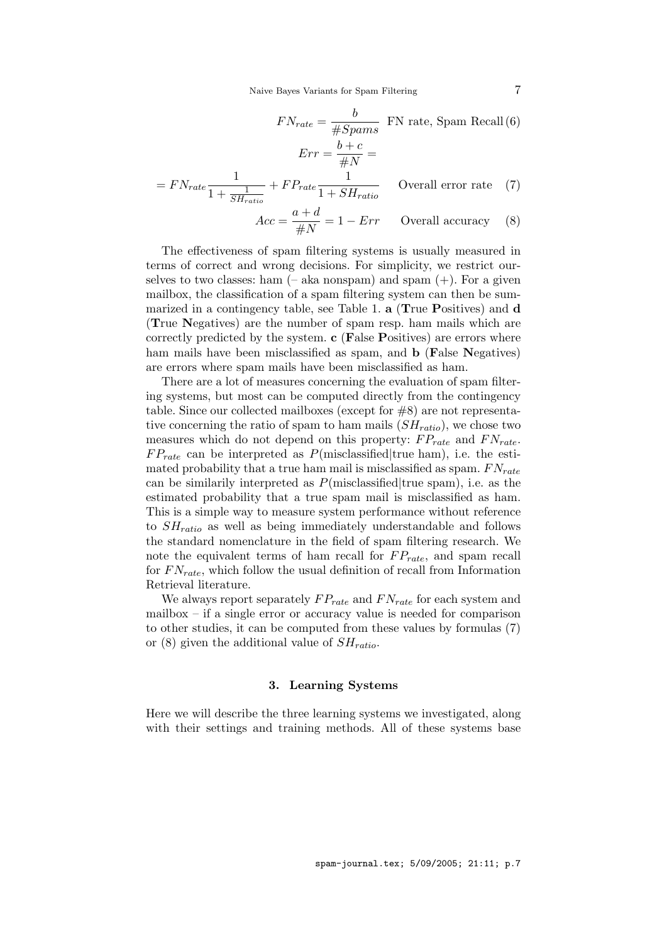Naive Bayes Variants for Spam Filtering 7

$$
FN_{rate} = \frac{b}{\#Spams}
$$
 FN rate, Spam Recall (6)  

$$
Err = \frac{b+c}{\#N} =
$$

$$
= FN_{rate} \frac{1}{1 + \frac{1}{SH_{ratio}}} + FP_{rate} \frac{1}{1 + SH_{ratio}}
$$
Overall error rate (7)  

$$
Acc = \frac{a+d}{\#N} = 1 - Err
$$
 Overall accuracy (8)

The effectiveness of spam filtering systems is usually measured in terms of correct and wrong decisions. For simplicity, we restrict ourselves to two classes: ham  $(-$  aka nonspam) and spam  $(+)$ . For a given mailbox, the classification of a spam filtering system can then be summarized in a contingency table, see Table 1. a (True Positives) and d (True Negatives) are the number of spam resp. ham mails which are correctly predicted by the system. c (False Positives) are errors where ham mails have been misclassified as spam, and **b** (False Negatives) are errors where spam mails have been misclassified as ham.

There are a lot of measures concerning the evaluation of spam filtering systems, but most can be computed directly from the contingency table. Since our collected mailboxes (except for #8) are not representative concerning the ratio of spam to ham mails  $(SH<sub>ratio</sub>)$ , we chose two measures which do not depend on this property:  $FP_{rate}$  and  $FN_{rate}$ .  $FP_{rate}$  can be interpreted as  $P(misclassified | true ham)$ , i.e. the estimated probability that a true ham mail is misclassified as spam.  $FN_{rate}$ can be similarly interpreted as  $P(misclassified | true spam)$ , i.e. as the estimated probability that a true spam mail is misclassified as ham. This is a simple way to measure system performance without reference to  $SH_{ratio}$  as well as being immediately understandable and follows the standard nomenclature in the field of spam filtering research. We note the equivalent terms of ham recall for  $FP_{rate}$ , and spam recall for  $FN_{rate}$ , which follow the usual definition of recall from Information Retrieval literature.

We always report separately  $FP_{rate}$  and  $FN_{rate}$  for each system and mailbox – if a single error or accuracy value is needed for comparison to other studies, it can be computed from these values by formulas (7) or (8) given the additional value of  $SH_{ratio}$ .

# 3. Learning Systems

Here we will describe the three learning systems we investigated, along with their settings and training methods. All of these systems base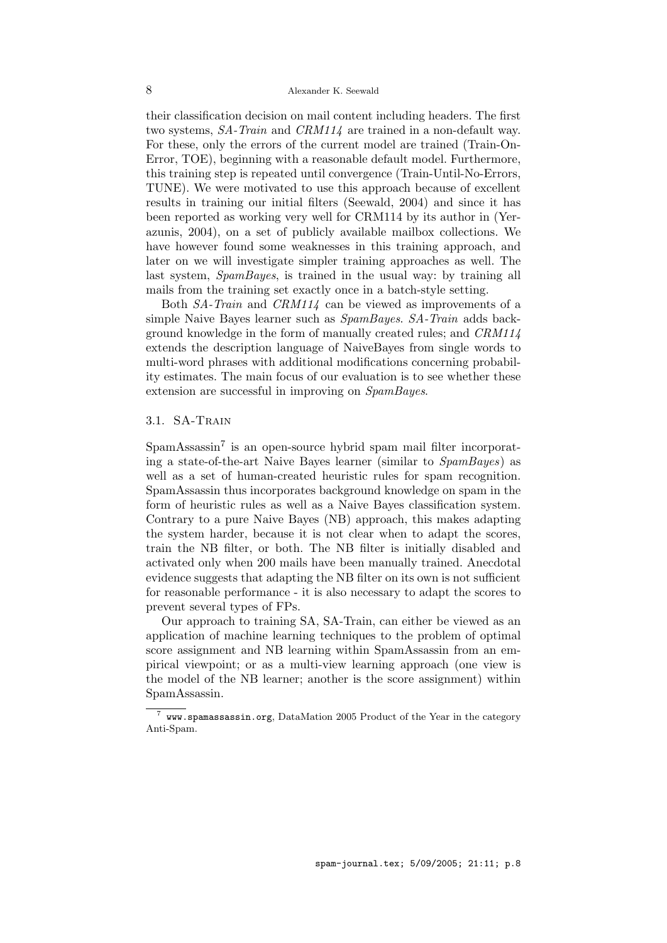their classification decision on mail content including headers. The first two systems, SA-Train and CRM114 are trained in a non-default way. For these, only the errors of the current model are trained (Train-On-Error, TOE), beginning with a reasonable default model. Furthermore, this training step is repeated until convergence (Train-Until-No-Errors, TUNE). We were motivated to use this approach because of excellent results in training our initial filters (Seewald, 2004) and since it has been reported as working very well for CRM114 by its author in (Yerazunis, 2004), on a set of publicly available mailbox collections. We have however found some weaknesses in this training approach, and later on we will investigate simpler training approaches as well. The last system, SpamBayes, is trained in the usual way: by training all mails from the training set exactly once in a batch-style setting.

Both SA-Train and CRM114 can be viewed as improvements of a simple Naive Bayes learner such as SpamBayes. SA-Train adds background knowledge in the form of manually created rules; and CRM114 extends the description language of NaiveBayes from single words to multi-word phrases with additional modifications concerning probability estimates. The main focus of our evaluation is to see whether these extension are successful in improving on SpamBayes.

# 3.1. SA-Train

SpamAssassin<sup>7</sup> is an open-source hybrid spam mail filter incorporating a state-of-the-art Naive Bayes learner (similar to SpamBayes) as well as a set of human-created heuristic rules for spam recognition. SpamAssassin thus incorporates background knowledge on spam in the form of heuristic rules as well as a Naive Bayes classification system. Contrary to a pure Naive Bayes (NB) approach, this makes adapting the system harder, because it is not clear when to adapt the scores, train the NB filter, or both. The NB filter is initially disabled and activated only when 200 mails have been manually trained. Anecdotal evidence suggests that adapting the NB filter on its own is not sufficient for reasonable performance - it is also necessary to adapt the scores to prevent several types of FPs.

Our approach to training SA, SA-Train, can either be viewed as an application of machine learning techniques to the problem of optimal score assignment and NB learning within SpamAssassin from an empirical viewpoint; or as a multi-view learning approach (one view is the model of the NB learner; another is the score assignment) within SpamAssassin.

 $7$  www.spamassassin.org, DataMation 2005 Product of the Year in the category Anti-Spam.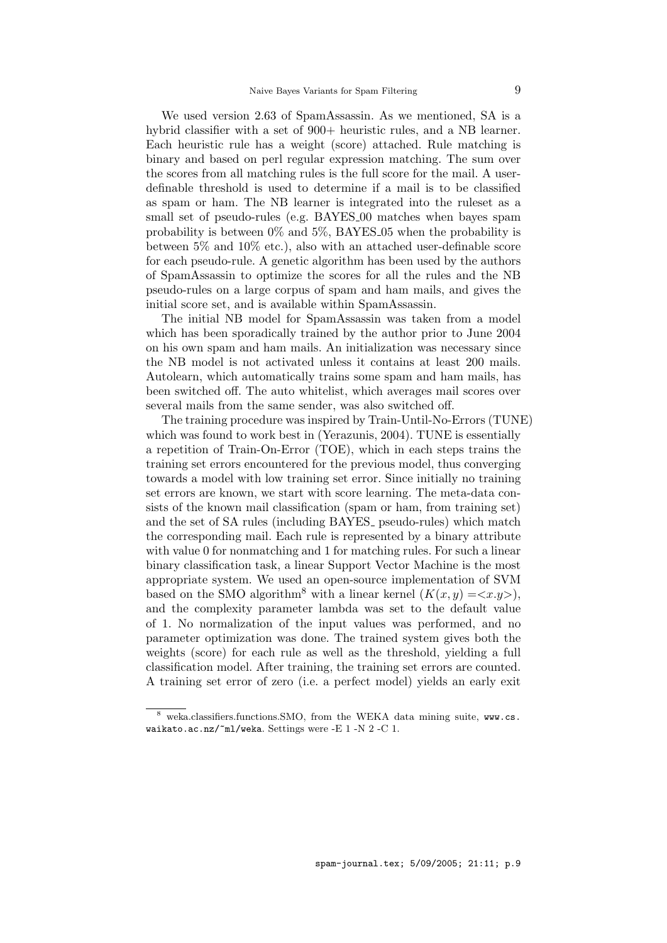We used version 2.63 of SpamAssassin. As we mentioned, SA is a hybrid classifier with a set of 900+ heuristic rules, and a NB learner. Each heuristic rule has a weight (score) attached. Rule matching is binary and based on perl regular expression matching. The sum over the scores from all matching rules is the full score for the mail. A userdefinable threshold is used to determine if a mail is to be classified as spam or ham. The NB learner is integrated into the ruleset as a small set of pseudo-rules (e.g. BAYES 00 matches when bayes spam probability is between  $0\%$  and  $5\%$ , BAYES-05 when the probability is between 5% and 10% etc.), also with an attached user-definable score for each pseudo-rule. A genetic algorithm has been used by the authors of SpamAssassin to optimize the scores for all the rules and the NB pseudo-rules on a large corpus of spam and ham mails, and gives the initial score set, and is available within SpamAssassin.

The initial NB model for SpamAssassin was taken from a model which has been sporadically trained by the author prior to June 2004 on his own spam and ham mails. An initialization was necessary since the NB model is not activated unless it contains at least 200 mails. Autolearn, which automatically trains some spam and ham mails, has been switched off. The auto whitelist, which averages mail scores over several mails from the same sender, was also switched off.

The training procedure was inspired by Train-Until-No-Errors (TUNE) which was found to work best in (Yerazunis, 2004). TUNE is essentially a repetition of Train-On-Error (TOE), which in each steps trains the training set errors encountered for the previous model, thus converging towards a model with low training set error. Since initially no training set errors are known, we start with score learning. The meta-data consists of the known mail classification (spam or ham, from training set) and the set of SA rules (including BAYES<sub>-</sub> pseudo-rules) which match the corresponding mail. Each rule is represented by a binary attribute with value 0 for nonmatching and 1 for matching rules. For such a linear binary classification task, a linear Support Vector Machine is the most appropriate system. We used an open-source implementation of SVM based on the SMO algorithm<sup>8</sup> with a linear kernel  $(K(x, y) = \langle x,y \rangle)$ , and the complexity parameter lambda was set to the default value of 1. No normalization of the input values was performed, and no parameter optimization was done. The trained system gives both the weights (score) for each rule as well as the threshold, yielding a full classification model. After training, the training set errors are counted. A training set error of zero (i.e. a perfect model) yields an early exit

weka.classifiers.functions.SMO, from the WEKA data mining suite, www.cs. waikato.ac.nz/~ml/weka. Settings were -E 1 -N 2 -C 1.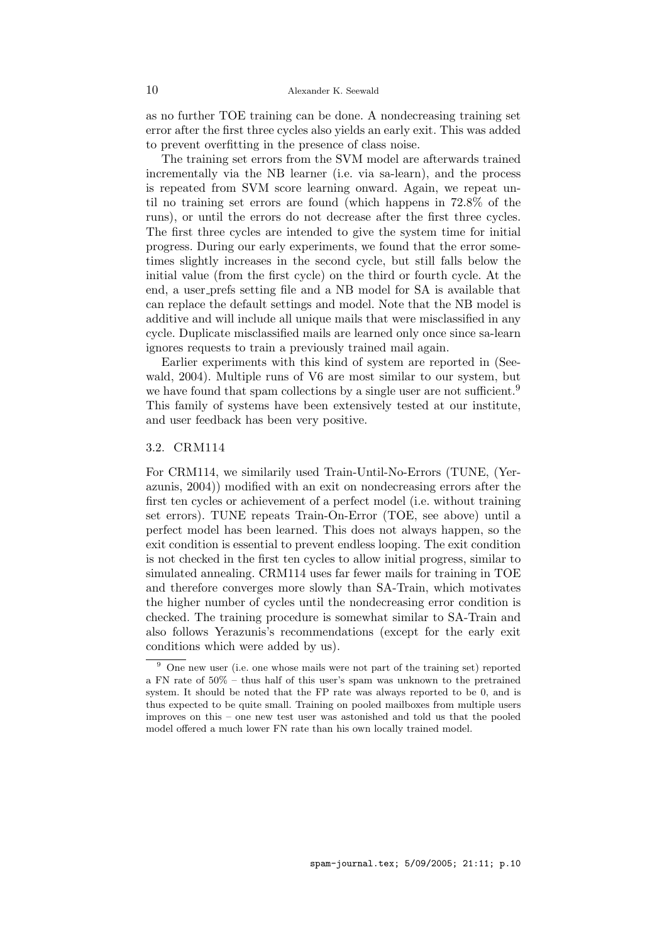as no further TOE training can be done. A nondecreasing training set error after the first three cycles also yields an early exit. This was added to prevent overfitting in the presence of class noise.

The training set errors from the SVM model are afterwards trained incrementally via the NB learner (i.e. via sa-learn), and the process is repeated from SVM score learning onward. Again, we repeat until no training set errors are found (which happens in 72.8% of the runs), or until the errors do not decrease after the first three cycles. The first three cycles are intended to give the system time for initial progress. During our early experiments, we found that the error sometimes slightly increases in the second cycle, but still falls below the initial value (from the first cycle) on the third or fourth cycle. At the end, a user prefs setting file and a NB model for SA is available that can replace the default settings and model. Note that the NB model is additive and will include all unique mails that were misclassified in any cycle. Duplicate misclassified mails are learned only once since sa-learn ignores requests to train a previously trained mail again.

Earlier experiments with this kind of system are reported in (Seewald, 2004). Multiple runs of V6 are most similar to our system, but we have found that spam collections by a single user are not sufficient.<sup>9</sup> This family of systems have been extensively tested at our institute, and user feedback has been very positive.

# 3.2. CRM114

For CRM114, we similarily used Train-Until-No-Errors (TUNE, (Yerazunis, 2004)) modified with an exit on nondecreasing errors after the first ten cycles or achievement of a perfect model (i.e. without training set errors). TUNE repeats Train-On-Error (TOE, see above) until a perfect model has been learned. This does not always happen, so the exit condition is essential to prevent endless looping. The exit condition is not checked in the first ten cycles to allow initial progress, similar to simulated annealing. CRM114 uses far fewer mails for training in TOE and therefore converges more slowly than SA-Train, which motivates the higher number of cycles until the nondecreasing error condition is checked. The training procedure is somewhat similar to SA-Train and also follows Yerazunis's recommendations (except for the early exit conditions which were added by us).

<sup>9</sup> One new user (i.e. one whose mails were not part of the training set) reported a FN rate of 50% – thus half of this user's spam was unknown to the pretrained system. It should be noted that the FP rate was always reported to be 0, and is thus expected to be quite small. Training on pooled mailboxes from multiple users improves on this – one new test user was astonished and told us that the pooled model offered a much lower FN rate than his own locally trained model.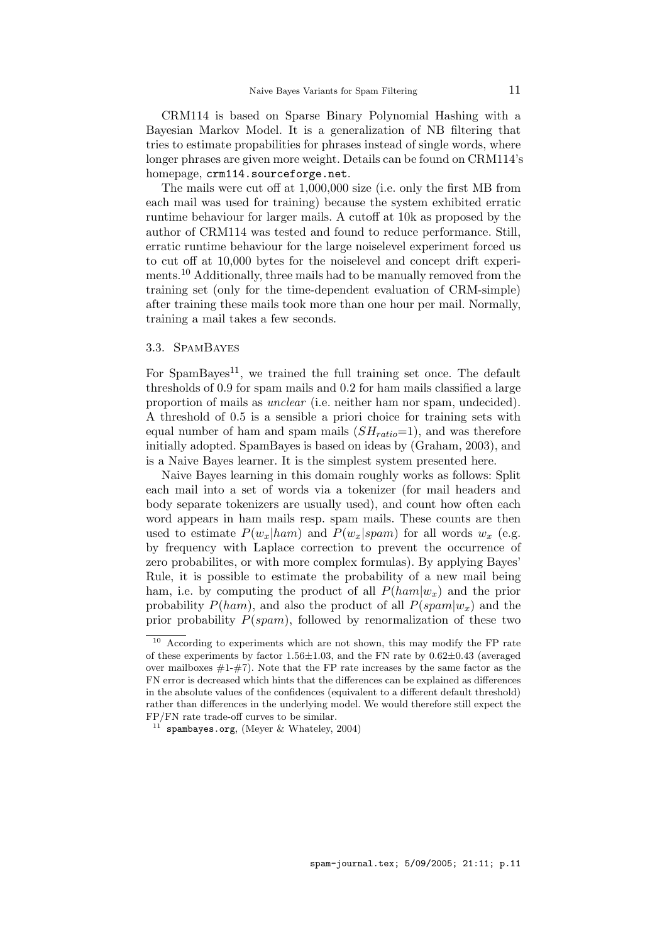CRM114 is based on Sparse Binary Polynomial Hashing with a Bayesian Markov Model. It is a generalization of NB filtering that tries to estimate propabilities for phrases instead of single words, where longer phrases are given more weight. Details can be found on CRM114's homepage, crm114.sourceforge.net.

The mails were cut off at 1,000,000 size (i.e. only the first MB from each mail was used for training) because the system exhibited erratic runtime behaviour for larger mails. A cutoff at 10k as proposed by the author of CRM114 was tested and found to reduce performance. Still, erratic runtime behaviour for the large noiselevel experiment forced us to cut off at 10,000 bytes for the noiselevel and concept drift experiments.<sup>10</sup> Additionally, three mails had to be manually removed from the training set (only for the time-dependent evaluation of CRM-simple) after training these mails took more than one hour per mail. Normally, training a mail takes a few seconds.

# 3.3. SpamBayes

For  $SpamBayes<sup>11</sup>$ , we trained the full training set once. The default thresholds of 0.9 for spam mails and 0.2 for ham mails classified a large proportion of mails as unclear (i.e. neither ham nor spam, undecided). A threshold of 0.5 is a sensible a priori choice for training sets with equal number of ham and spam mails  $(SH_{ratio}=1)$ , and was therefore initially adopted. SpamBayes is based on ideas by (Graham, 2003), and is a Naive Bayes learner. It is the simplest system presented here.

Naive Bayes learning in this domain roughly works as follows: Split each mail into a set of words via a tokenizer (for mail headers and body separate tokenizers are usually used), and count how often each word appears in ham mails resp. spam mails. These counts are then used to estimate  $P(w_x|ham)$  and  $P(w_x|spam)$  for all words  $w_x$  (e.g. by frequency with Laplace correction to prevent the occurrence of zero probabilites, or with more complex formulas). By applying Bayes' Rule, it is possible to estimate the probability of a new mail being ham, i.e. by computing the product of all  $P(ham|w_x)$  and the prior probability  $P(ham)$ , and also the product of all  $P(spam|w_x)$  and the prior probability  $P(spam)$ , followed by renormalization of these two

<sup>&</sup>lt;sup>10</sup> According to experiments which are not shown, this may modify the FP rate of these experiments by factor 1.56 $\pm$ 1.03, and the FN rate by 0.62 $\pm$ 0.43 (averaged over mailboxes  $#1-\#7$ ). Note that the FP rate increases by the same factor as the FN error is decreased which hints that the differences can be explained as differences in the absolute values of the confidences (equivalent to a different default threshold) rather than differences in the underlying model. We would therefore still expect the FP/FN rate trade-off curves to be similar.

 $11$  spambayes.org, (Meyer & Whateley, 2004)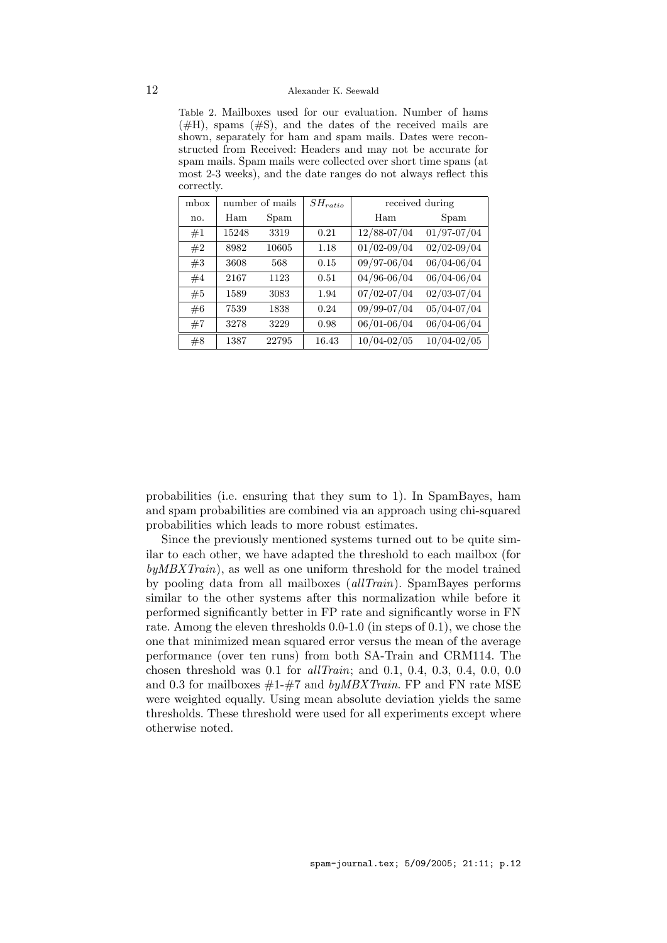Table 2. Mailboxes used for our evaluation. Number of hams  $(\#H)$ , spams  $(\#S)$ , and the dates of the received mails are shown, separately for ham and spam mails. Dates were reconstructed from Received: Headers and may not be accurate for spam mails. Spam mails were collected over short time spans (at most 2-3 weeks), and the date ranges do not always reflect this correctly.

| mbox | number of mails |       | $SH_{ratio}$ | received during |                 |
|------|-----------------|-------|--------------|-----------------|-----------------|
| no.  | Ham             | Spam  |              | Ham             | Spam            |
| #1   | 15248           | 3319  | 0.21         | 12/88-07/04     | 01/97-07/04     |
| #2   | 8982            | 10605 | 1.18         | $01/02 - 09/04$ | $02/02 - 09/04$ |
| #3   | 3608            | 568   | 0.15         | 09/97-06/04     | 06/04-06/04     |
| #4   | 2167            | 1123  | 0.51         | $04/96 - 06/04$ | 06/04-06/04     |
| #5   | 1589            | 3083  | 1.94         | $07/02 - 07/04$ | $02/03 - 07/04$ |
| #6   | 7539            | 1838  | 0.24         | 09/99-07/04     | 05/04-07/04     |
| #7   | 3278            | 3229  | 0.98         | $06/01 - 06/04$ | 06/04-06/04     |
| #8   | 1387            | 22795 | 16.43        | $10/04 - 02/05$ | $10/04 - 02/05$ |

probabilities (i.e. ensuring that they sum to 1). In SpamBayes, ham and spam probabilities are combined via an approach using chi-squared probabilities which leads to more robust estimates.

Since the previously mentioned systems turned out to be quite similar to each other, we have adapted the threshold to each mailbox (for  $by MBXTrain$ ), as well as one uniform threshold for the model trained by pooling data from all mailboxes (allTrain). SpamBayes performs similar to the other systems after this normalization while before it performed significantly better in FP rate and significantly worse in FN rate. Among the eleven thresholds 0.0-1.0 (in steps of 0.1), we chose the one that minimized mean squared error versus the mean of the average performance (over ten runs) from both SA-Train and CRM114. The chosen threshold was 0.1 for allTrain; and 0.1, 0.4, 0.3, 0.4, 0.0, 0.0 and 0.3 for mailboxes  $#1-#7$  and by MBXTrain. FP and FN rate MSE were weighted equally. Using mean absolute deviation yields the same thresholds. These threshold were used for all experiments except where otherwise noted.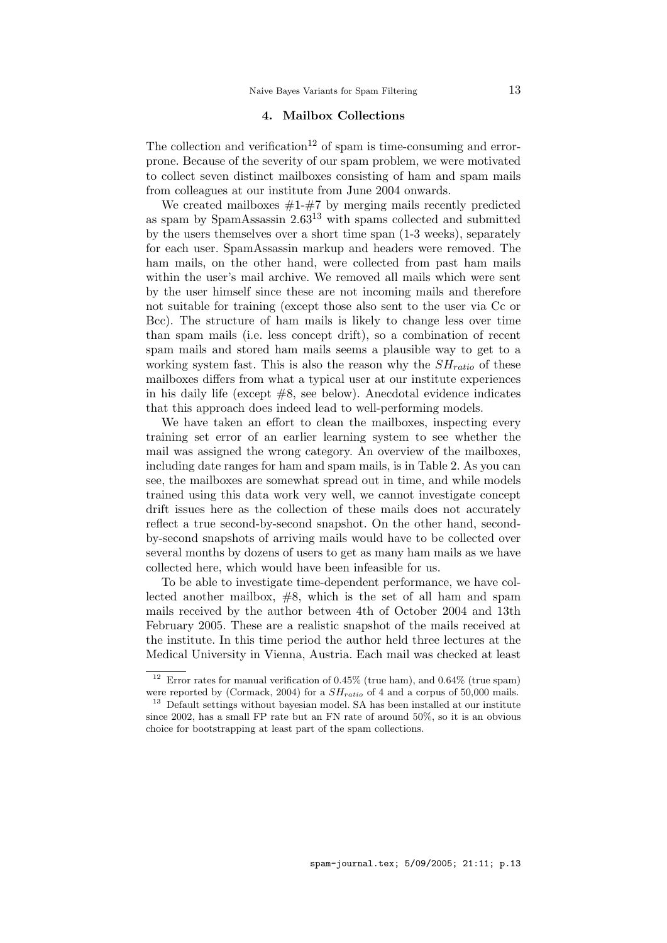# 4. Mailbox Collections

The collection and verification<sup>12</sup> of spam is time-consuming and errorprone. Because of the severity of our spam problem, we were motivated to collect seven distinct mailboxes consisting of ham and spam mails from colleagues at our institute from June 2004 onwards.

We created mailboxes  $#1-\#7$  by merging mails recently predicted as spam by SpamAssassin 2.63<sup>13</sup> with spams collected and submitted by the users themselves over a short time span (1-3 weeks), separately for each user. SpamAssassin markup and headers were removed. The ham mails, on the other hand, were collected from past ham mails within the user's mail archive. We removed all mails which were sent by the user himself since these are not incoming mails and therefore not suitable for training (except those also sent to the user via Cc or Bcc). The structure of ham mails is likely to change less over time than spam mails (i.e. less concept drift), so a combination of recent spam mails and stored ham mails seems a plausible way to get to a working system fast. This is also the reason why the  $SH_{ratio}$  of these mailboxes differs from what a typical user at our institute experiences in his daily life (except #8, see below). Anecdotal evidence indicates that this approach does indeed lead to well-performing models.

We have taken an effort to clean the mailboxes, inspecting every training set error of an earlier learning system to see whether the mail was assigned the wrong category. An overview of the mailboxes, including date ranges for ham and spam mails, is in Table 2. As you can see, the mailboxes are somewhat spread out in time, and while models trained using this data work very well, we cannot investigate concept drift issues here as the collection of these mails does not accurately reflect a true second-by-second snapshot. On the other hand, secondby-second snapshots of arriving mails would have to be collected over several months by dozens of users to get as many ham mails as we have collected here, which would have been infeasible for us.

To be able to investigate time-dependent performance, we have collected another mailbox,  $#8$ , which is the set of all ham and spam mails received by the author between 4th of October 2004 and 13th February 2005. These are a realistic snapshot of the mails received at the institute. In this time period the author held three lectures at the Medical University in Vienna, Austria. Each mail was checked at least

<sup>&</sup>lt;sup>12</sup> Error rates for manual verification of 0.45% (true ham), and 0.64% (true spam) were reported by (Cormack, 2004) for a  $SH_{ratio}$  of 4 and a corpus of 50,000 mails.

<sup>&</sup>lt;sup>13</sup> Default settings without bayesian model. SA has been installed at our institute since 2002, has a small FP rate but an FN rate of around 50%, so it is an obvious choice for bootstrapping at least part of the spam collections.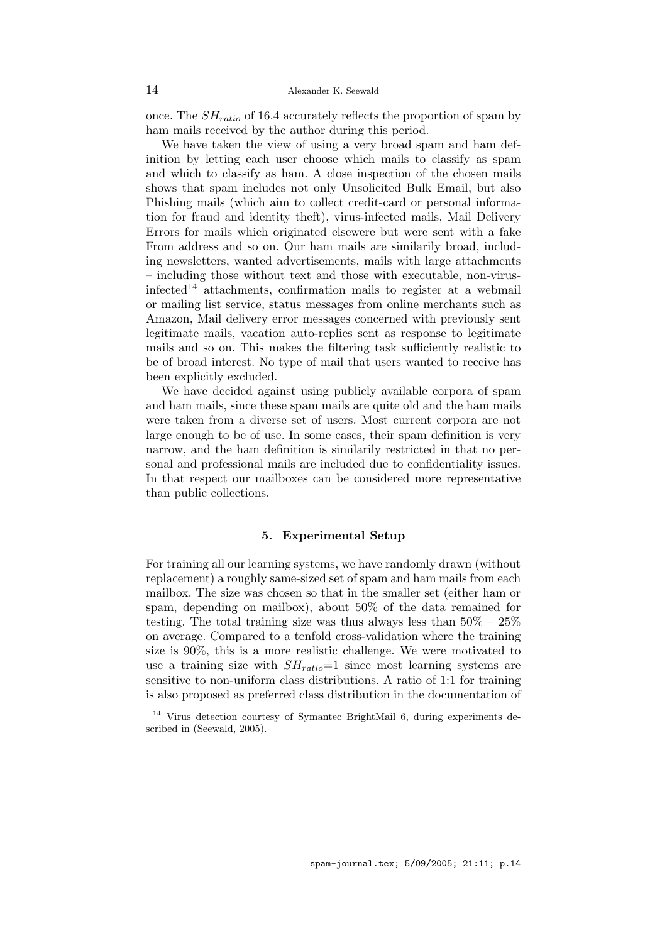once. The  $SH_{ratio}$  of 16.4 accurately reflects the proportion of spam by ham mails received by the author during this period.

We have taken the view of using a very broad spam and ham definition by letting each user choose which mails to classify as spam and which to classify as ham. A close inspection of the chosen mails shows that spam includes not only Unsolicited Bulk Email, but also Phishing mails (which aim to collect credit-card or personal information for fraud and identity theft), virus-infected mails, Mail Delivery Errors for mails which originated elsewere but were sent with a fake From address and so on. Our ham mails are similarily broad, including newsletters, wanted advertisements, mails with large attachments – including those without text and those with executable, non-virusinfected<sup>14</sup> attachments, confirmation mails to register at a webmail or mailing list service, status messages from online merchants such as Amazon, Mail delivery error messages concerned with previously sent legitimate mails, vacation auto-replies sent as response to legitimate mails and so on. This makes the filtering task sufficiently realistic to be of broad interest. No type of mail that users wanted to receive has been explicitly excluded.

We have decided against using publicly available corpora of spam and ham mails, since these spam mails are quite old and the ham mails were taken from a diverse set of users. Most current corpora are not large enough to be of use. In some cases, their spam definition is very narrow, and the ham definition is similarily restricted in that no personal and professional mails are included due to confidentiality issues. In that respect our mailboxes can be considered more representative than public collections.

# 5. Experimental Setup

For training all our learning systems, we have randomly drawn (without replacement) a roughly same-sized set of spam and ham mails from each mailbox. The size was chosen so that in the smaller set (either ham or spam, depending on mailbox), about 50% of the data remained for testing. The total training size was thus always less than  $50\% - 25\%$ on average. Compared to a tenfold cross-validation where the training size is 90%, this is a more realistic challenge. We were motivated to use a training size with  $SH_{ratio}=1$  since most learning systems are sensitive to non-uniform class distributions. A ratio of 1:1 for training is also proposed as preferred class distribution in the documentation of

<sup>14</sup> Virus detection courtesy of Symantec BrightMail 6, during experiments described in (Seewald, 2005).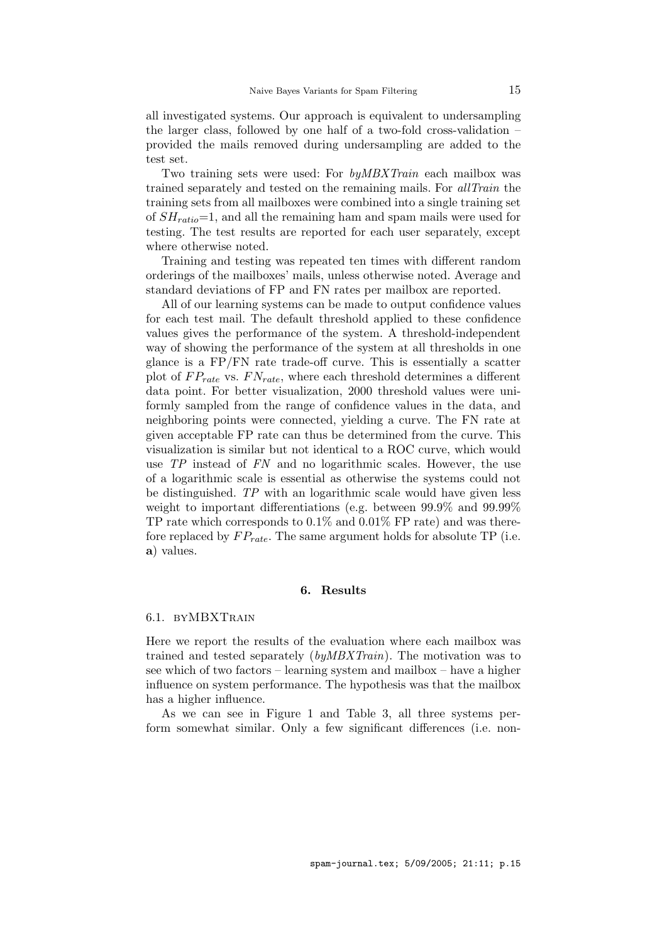all investigated systems. Our approach is equivalent to undersampling the larger class, followed by one half of a two-fold cross-validation – provided the mails removed during undersampling are added to the test set.

Two training sets were used: For *byMBXTrain* each mailbox was trained separately and tested on the remaining mails. For allTrain the training sets from all mailboxes were combined into a single training set of  $SH_{ratio}=1$ , and all the remaining ham and spam mails were used for testing. The test results are reported for each user separately, except where otherwise noted.

Training and testing was repeated ten times with different random orderings of the mailboxes' mails, unless otherwise noted. Average and standard deviations of FP and FN rates per mailbox are reported.

All of our learning systems can be made to output confidence values for each test mail. The default threshold applied to these confidence values gives the performance of the system. A threshold-independent way of showing the performance of the system at all thresholds in one glance is a FP/FN rate trade-off curve. This is essentially a scatter plot of  $FP_{rate}$  vs.  $FN_{rate}$ , where each threshold determines a different data point. For better visualization, 2000 threshold values were uniformly sampled from the range of confidence values in the data, and neighboring points were connected, yielding a curve. The FN rate at given acceptable FP rate can thus be determined from the curve. This visualization is similar but not identical to a ROC curve, which would use TP instead of FN and no logarithmic scales. However, the use of a logarithmic scale is essential as otherwise the systems could not be distinguished. TP with an logarithmic scale would have given less weight to important differentiations (e.g. between 99.9% and 99.99% TP rate which corresponds to  $0.1\%$  and  $0.01\%$  FP rate) and was therefore replaced by  $FP_{rate}$ . The same argument holds for absolute TP (i.e. a) values.

#### 6. Results

## 6.1. BYMBXTRAIN

Here we report the results of the evaluation where each mailbox was trained and tested separately (byMBXTrain). The motivation was to see which of two factors – learning system and mailbox – have a higher influence on system performance. The hypothesis was that the mailbox has a higher influence.

As we can see in Figure 1 and Table 3, all three systems perform somewhat similar. Only a few significant differences (i.e. non-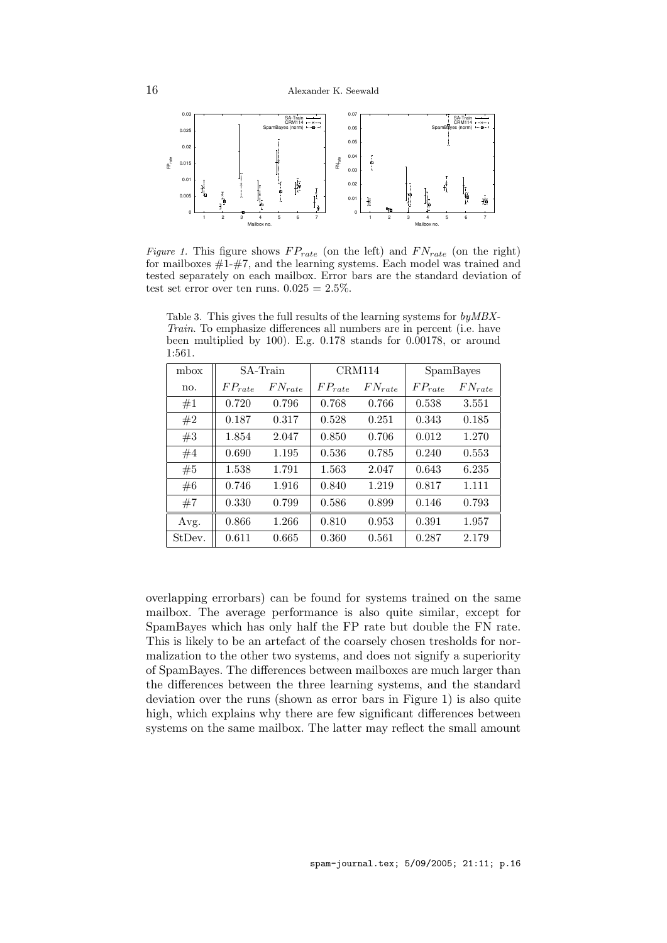

Figure 1. This figure shows  $FP_{rate}$  (on the left) and  $FN_{rate}$  (on the right) for mailboxes  $\#1-\#7$ , and the learning systems. Each model was trained and tested separately on each mailbox. Error bars are the standard deviation of test set error over ten runs.  $0.025 = 2.5\%$ .

Table 3. This gives the full results of the learning systems for byMBX-Train. To emphasize differences all numbers are in percent (i.e. have been multiplied by 100). E.g. 0.178 stands for 0.00178, or around 1:561.

| mbox   | SA-Train    |             | CRM114      |             | SpamBayes   |             |
|--------|-------------|-------------|-------------|-------------|-------------|-------------|
| no.    | $FP_{rate}$ | $FN_{rate}$ | $FP_{rate}$ | $FN_{rate}$ | $FP_{rate}$ | $FN_{rate}$ |
| #1     | 0.720       | 0.796       | 0.768       | 0.766       | 0.538       | 3.551       |
| #2     | 0.187       | 0.317       | 0.528       | 0.251       | 0.343       | 0.185       |
| #3     | 1.854       | 2.047       | 0.850       | 0.706       | 0.012       | 1.270       |
| #4     | 0.690       | 1.195       | 0.536       | 0.785       | 0.240       | 0.553       |
| #5     | 1.538       | 1.791       | 1.563       | 2.047       | 0.643       | 6.235       |
| #6     | 0.746       | 1.916       | 0.840       | 1.219       | 0.817       | 1.111       |
| #7     | 0.330       | 0.799       | 0.586       | 0.899       | 0.146       | 0.793       |
| Avg.   | 0.866       | 1.266       | 0.810       | 0.953       | 0.391       | 1.957       |
| StDev. | 0.611       | 0.665       | 0.360       | 0.561       | 0.287       | 2.179       |

overlapping errorbars) can be found for systems trained on the same mailbox. The average performance is also quite similar, except for SpamBayes which has only half the FP rate but double the FN rate. This is likely to be an artefact of the coarsely chosen tresholds for normalization to the other two systems, and does not signify a superiority of SpamBayes. The differences between mailboxes are much larger than the differences between the three learning systems, and the standard deviation over the runs (shown as error bars in Figure 1) is also quite high, which explains why there are few significant differences between systems on the same mailbox. The latter may reflect the small amount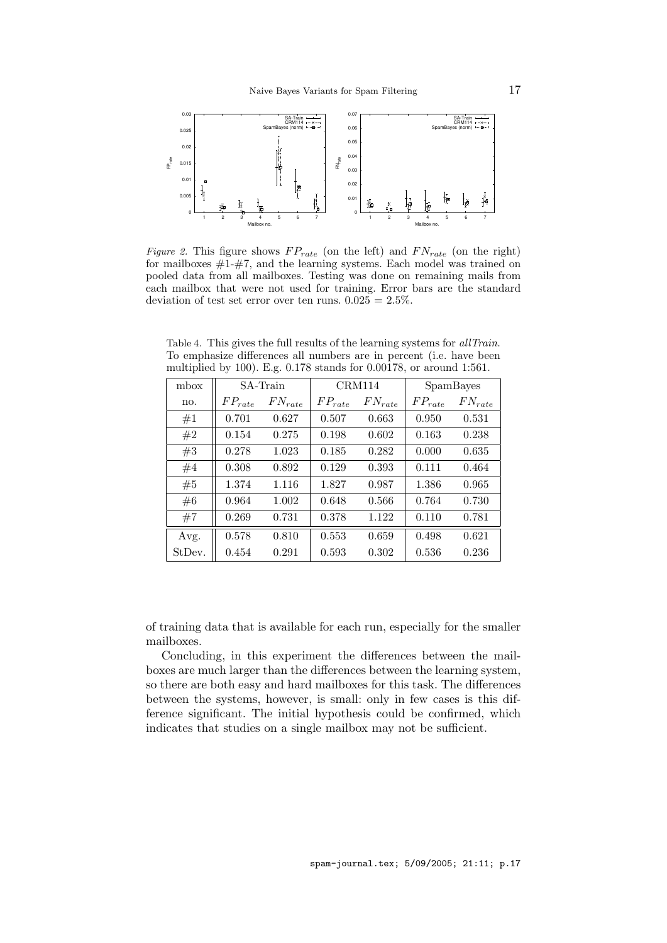

Figure 2. This figure shows  $FP_{rate}$  (on the left) and  $FN_{rate}$  (on the right) for mailboxes  $\#1-\#7$ , and the learning systems. Each model was trained on pooled data from all mailboxes. Testing was done on remaining mails from each mailbox that were not used for training. Error bars are the standard deviation of test set error over ten runs.  $0.025 = 2.5\%$ .

| mbox   | SA-Train    |             | CRM114      |             | SpamBayes   |             |
|--------|-------------|-------------|-------------|-------------|-------------|-------------|
| no.    | $FP_{rate}$ | $FN_{rate}$ | $FP_{rate}$ | $FN_{rate}$ | $FP_{rate}$ | $FN_{rate}$ |
| #1     | 0.701       | 0.627       | 0.507       | 0.663       | 0.950       | 0.531       |
| #2     | 0.154       | 0.275       | 0.198       | 0.602       | 0.163       | 0.238       |
| #3     | 0.278       | 1.023       | 0.185       | 0.282       | 0.000       | 0.635       |
| #4     | 0.308       | 0.892       | 0.129       | 0.393       | 0.111       | 0.464       |
| #5     | 1.374       | 1.116       | 1.827       | 0.987       | 1.386       | 0.965       |
| #6     | 0.964       | 1.002       | 0.648       | 0.566       | 0.764       | 0.730       |
| #7     | 0.269       | 0.731       | 0.378       | 1.122       | 0.110       | 0.781       |
| Avg.   | 0.578       | 0.810       | 0.553       | 0.659       | 0.498       | 0.621       |
| StDev. | 0.454       | 0.291       | 0.593       | 0.302       | 0.536       | 0.236       |

Table 4. This gives the full results of the learning systems for allTrain. To emphasize differences all numbers are in percent (i.e. have been multiplied by 100). E.g. 0.178 stands for 0.00178, or around 1:561.

of training data that is available for each run, especially for the smaller mailboxes.

Concluding, in this experiment the differences between the mailboxes are much larger than the differences between the learning system, so there are both easy and hard mailboxes for this task. The differences between the systems, however, is small: only in few cases is this difference significant. The initial hypothesis could be confirmed, which indicates that studies on a single mailbox may not be sufficient.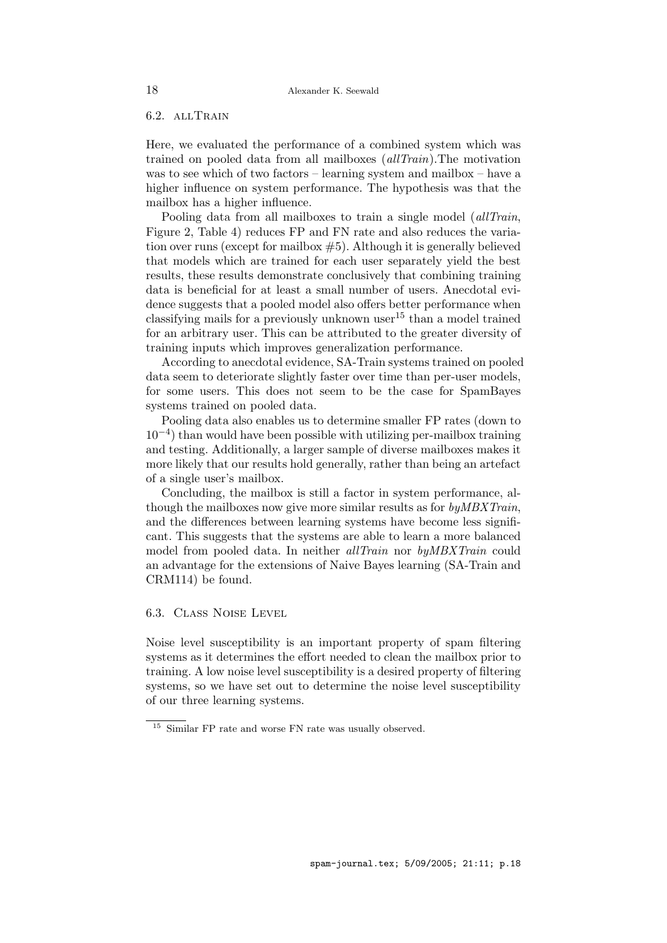# 6.2. allTrain

Here, we evaluated the performance of a combined system which was trained on pooled data from all mailboxes (allTrain).The motivation was to see which of two factors – learning system and mailbox – have a higher influence on system performance. The hypothesis was that the mailbox has a higher influence.

Pooling data from all mailboxes to train a single model *(allTrain,* Figure 2, Table 4) reduces FP and FN rate and also reduces the variation over runs (except for mailbox #5). Although it is generally believed that models which are trained for each user separately yield the best results, these results demonstrate conclusively that combining training data is beneficial for at least a small number of users. Anecdotal evidence suggests that a pooled model also offers better performance when classifying mails for a previously unknown user  $15$  than a model trained for an arbitrary user. This can be attributed to the greater diversity of training inputs which improves generalization performance.

According to anecdotal evidence, SA-Train systems trained on pooled data seem to deteriorate slightly faster over time than per-user models, for some users. This does not seem to be the case for SpamBayes systems trained on pooled data.

Pooling data also enables us to determine smaller FP rates (down to 10−<sup>4</sup> ) than would have been possible with utilizing per-mailbox training and testing. Additionally, a larger sample of diverse mailboxes makes it more likely that our results hold generally, rather than being an artefact of a single user's mailbox.

Concluding, the mailbox is still a factor in system performance, although the mailboxes now give more similar results as for by MBXTrain, and the differences between learning systems have become less significant. This suggests that the systems are able to learn a more balanced model from pooled data. In neither *allTrain* nor  $by MBXTrian$  could an advantage for the extensions of Naive Bayes learning (SA-Train and CRM114) be found.

# 6.3. Class Noise Level

Noise level susceptibility is an important property of spam filtering systems as it determines the effort needed to clean the mailbox prior to training. A low noise level susceptibility is a desired property of filtering systems, so we have set out to determine the noise level susceptibility of our three learning systems.

<sup>&</sup>lt;sup>15</sup> Similar FP rate and worse FN rate was usually observed.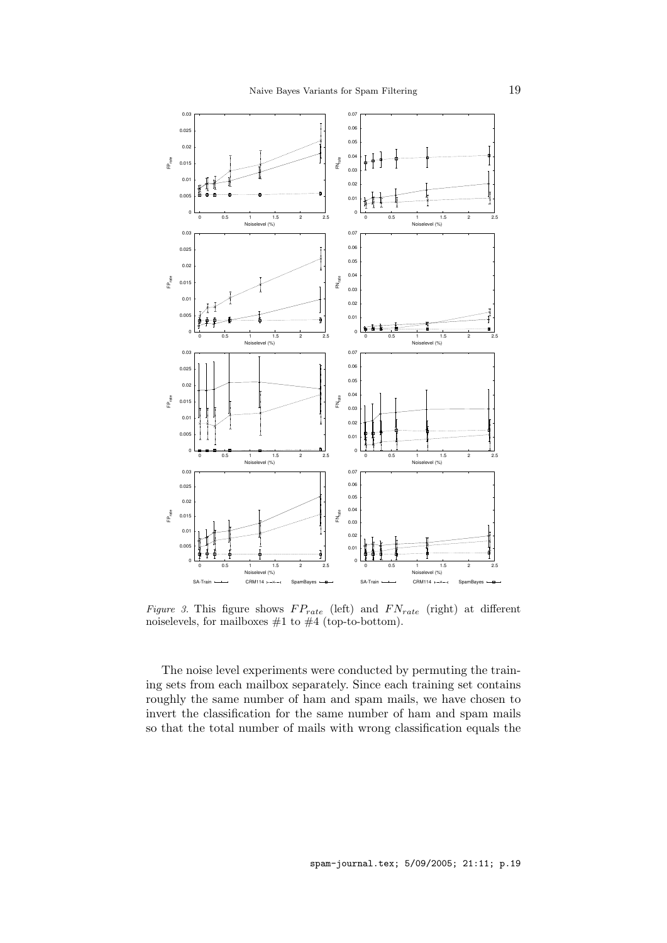

Figure 3. This figure shows  $FP_{rate}$  (left) and  $FN_{rate}$  (right) at different noiselevels, for mailboxes  $#1$  to  $#4$  (top-to-bottom).

The noise level experiments were conducted by permuting the training sets from each mailbox separately. Since each training set contains roughly the same number of ham and spam mails, we have chosen to invert the classification for the same number of ham and spam mails so that the total number of mails with wrong classification equals the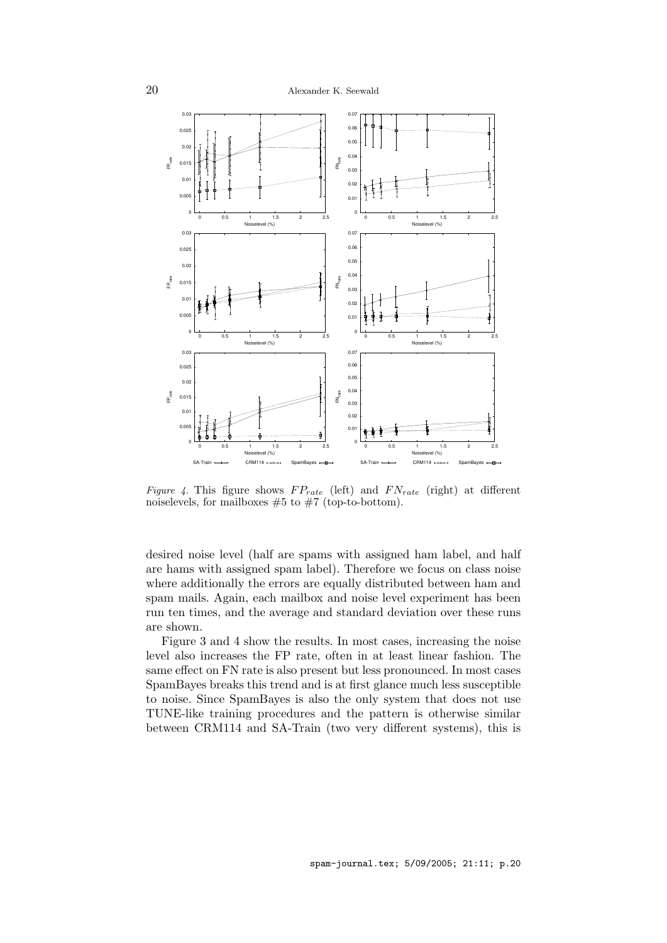

Figure 4. This figure shows  $FP_{rate}$  (left) and  $FN_{rate}$  (right) at different noiselevels, for mailboxes  $#5$  to  $#7$  (top-to-bottom).

desired noise level (half are spams with assigned ham label, and half are hams with assigned spam label). Therefore we focus on class noise where additionally the errors are equally distributed between ham and spam mails. Again, each mailbox and noise level experiment has been run ten times, and the average and standard deviation over these runs are shown.

Figure 3 and 4 show the results. In most cases, increasing the noise level also increases the FP rate, often in at least linear fashion. The same effect on FN rate is also present but less pronounced. In most cases SpamBayes breaks this trend and is at first glance much less susceptible to noise. Since SpamBayes is also the only system that does not use TUNE-like training procedures and the pattern is otherwise similar between CRM114 and SA-Train (two very different systems), this is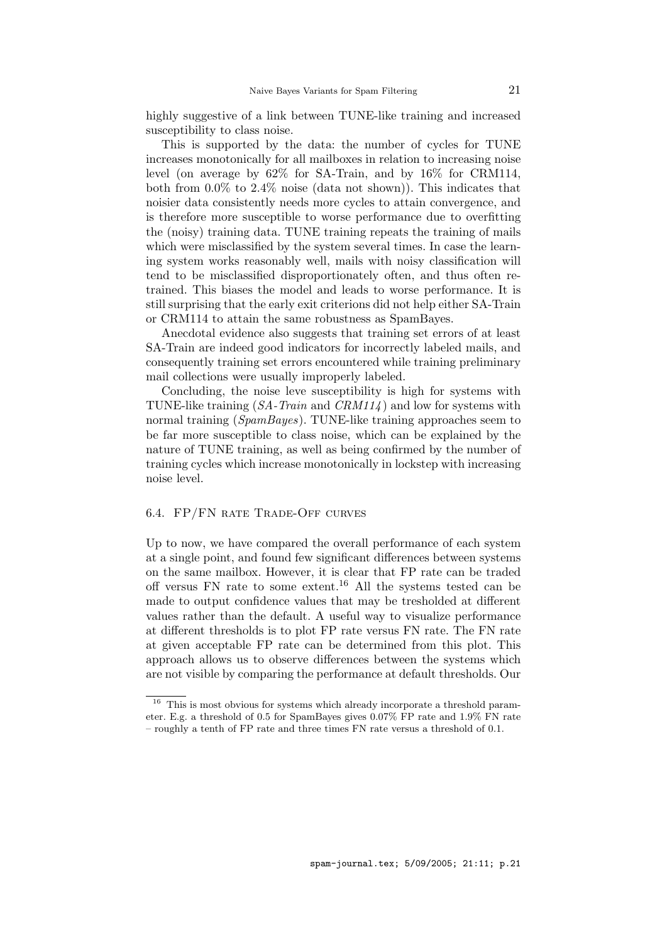highly suggestive of a link between TUNE-like training and increased susceptibility to class noise.

This is supported by the data: the number of cycles for TUNE increases monotonically for all mailboxes in relation to increasing noise level (on average by 62% for SA-Train, and by 16% for CRM114, both from  $0.0\%$  to  $2.4\%$  noise (data not shown)). This indicates that noisier data consistently needs more cycles to attain convergence, and is therefore more susceptible to worse performance due to overfitting the (noisy) training data. TUNE training repeats the training of mails which were misclassified by the system several times. In case the learning system works reasonably well, mails with noisy classification will tend to be misclassified disproportionately often, and thus often retrained. This biases the model and leads to worse performance. It is still surprising that the early exit criterions did not help either SA-Train or CRM114 to attain the same robustness as SpamBayes.

Anecdotal evidence also suggests that training set errors of at least SA-Train are indeed good indicators for incorrectly labeled mails, and consequently training set errors encountered while training preliminary mail collections were usually improperly labeled.

Concluding, the noise leve susceptibility is high for systems with TUNE-like training  $(SA - Train \text{ and } CRM114)$  and low for systems with normal training (SpamBayes). TUNE-like training approaches seem to be far more susceptible to class noise, which can be explained by the nature of TUNE training, as well as being confirmed by the number of training cycles which increase monotonically in lockstep with increasing noise level.

## 6.4. FP/FN RATE TRADE-OFF CURVES

Up to now, we have compared the overall performance of each system at a single point, and found few significant differences between systems on the same mailbox. However, it is clear that FP rate can be traded off versus FN rate to some extent.<sup>16</sup> All the systems tested can be made to output confidence values that may be tresholded at different values rather than the default. A useful way to visualize performance at different thresholds is to plot FP rate versus FN rate. The FN rate at given acceptable FP rate can be determined from this plot. This approach allows us to observe differences between the systems which are not visible by comparing the performance at default thresholds. Our

<sup>&</sup>lt;sup>16</sup> This is most obvious for systems which already incorporate a threshold parameter. E.g. a threshold of 0.5 for SpamBayes gives 0.07% FP rate and 1.9% FN rate – roughly a tenth of FP rate and three times FN rate versus a threshold of 0.1.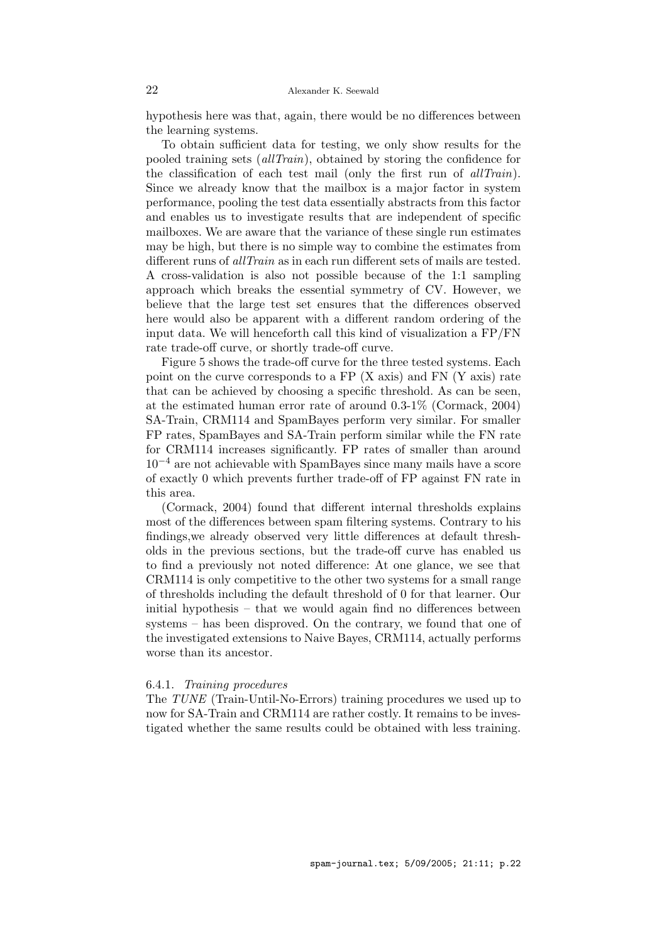hypothesis here was that, again, there would be no differences between the learning systems.

To obtain sufficient data for testing, we only show results for the pooled training sets (allTrain), obtained by storing the confidence for the classification of each test mail (only the first run of *allTrain*). Since we already know that the mailbox is a major factor in system performance, pooling the test data essentially abstracts from this factor and enables us to investigate results that are independent of specific mailboxes. We are aware that the variance of these single run estimates may be high, but there is no simple way to combine the estimates from different runs of *allTrain* as in each run different sets of mails are tested. A cross-validation is also not possible because of the 1:1 sampling approach which breaks the essential symmetry of CV. However, we believe that the large test set ensures that the differences observed here would also be apparent with a different random ordering of the input data. We will henceforth call this kind of visualization a FP/FN rate trade-off curve, or shortly trade-off curve.

Figure 5 shows the trade-off curve for the three tested systems. Each point on the curve corresponds to a FP (X axis) and FN (Y axis) rate that can be achieved by choosing a specific threshold. As can be seen, at the estimated human error rate of around 0.3-1% (Cormack, 2004) SA-Train, CRM114 and SpamBayes perform very similar. For smaller FP rates, SpamBayes and SA-Train perform similar while the FN rate for CRM114 increases significantly. FP rates of smaller than around  $10^{-4}$  are not achievable with SpamBayes since many mails have a score of exactly 0 which prevents further trade-off of FP against FN rate in this area.

(Cormack, 2004) found that different internal thresholds explains most of the differences between spam filtering systems. Contrary to his findings,we already observed very little differences at default thresholds in the previous sections, but the trade-off curve has enabled us to find a previously not noted difference: At one glance, we see that CRM114 is only competitive to the other two systems for a small range of thresholds including the default threshold of 0 for that learner. Our initial hypothesis – that we would again find no differences between systems – has been disproved. On the contrary, we found that one of the investigated extensions to Naive Bayes, CRM114, actually performs worse than its ancestor.

#### 6.4.1. Training procedures

The TUNE (Train-Until-No-Errors) training procedures we used up to now for SA-Train and CRM114 are rather costly. It remains to be investigated whether the same results could be obtained with less training.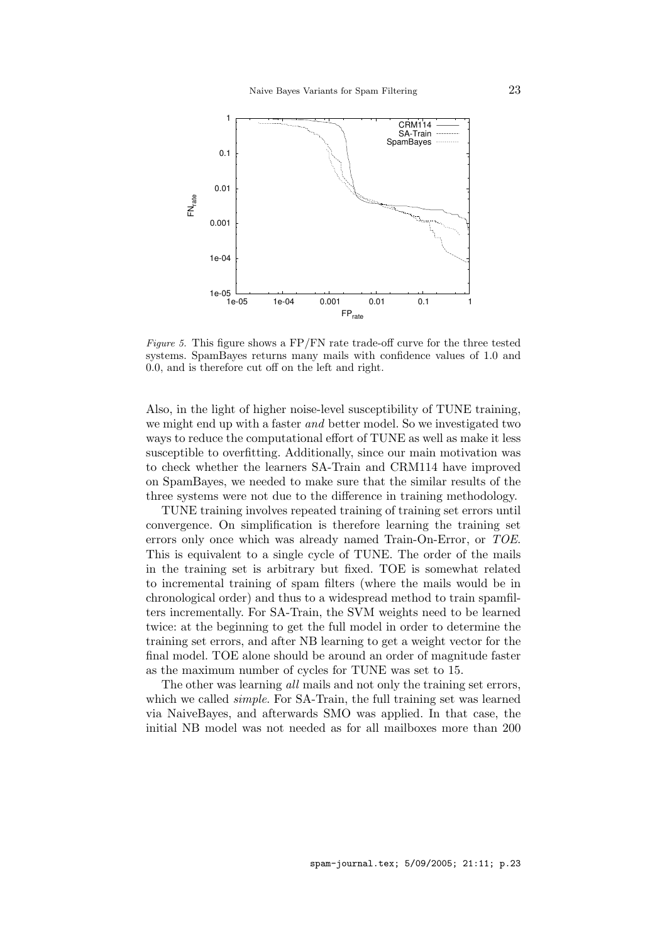

Figure 5. This figure shows a  $FP/FN$  rate trade-off curve for the three tested systems. SpamBayes returns many mails with confidence values of 1.0 and 0.0, and is therefore cut off on the left and right.

Also, in the light of higher noise-level susceptibility of TUNE training, we might end up with a faster *and* better model. So we investigated two ways to reduce the computational effort of TUNE as well as make it less susceptible to overfitting. Additionally, since our main motivation was to check whether the learners SA-Train and CRM114 have improved on SpamBayes, we needed to make sure that the similar results of the three systems were not due to the difference in training methodology.

TUNE training involves repeated training of training set errors until convergence. On simplification is therefore learning the training set errors only once which was already named Train-On-Error, or TOE. This is equivalent to a single cycle of TUNE. The order of the mails in the training set is arbitrary but fixed. TOE is somewhat related to incremental training of spam filters (where the mails would be in chronological order) and thus to a widespread method to train spamfilters incrementally. For SA-Train, the SVM weights need to be learned twice: at the beginning to get the full model in order to determine the training set errors, and after NB learning to get a weight vector for the final model. TOE alone should be around an order of magnitude faster as the maximum number of cycles for TUNE was set to 15.

The other was learning all mails and not only the training set errors, which we called *simple*. For SA-Train, the full training set was learned via NaiveBayes, and afterwards SMO was applied. In that case, the initial NB model was not needed as for all mailboxes more than 200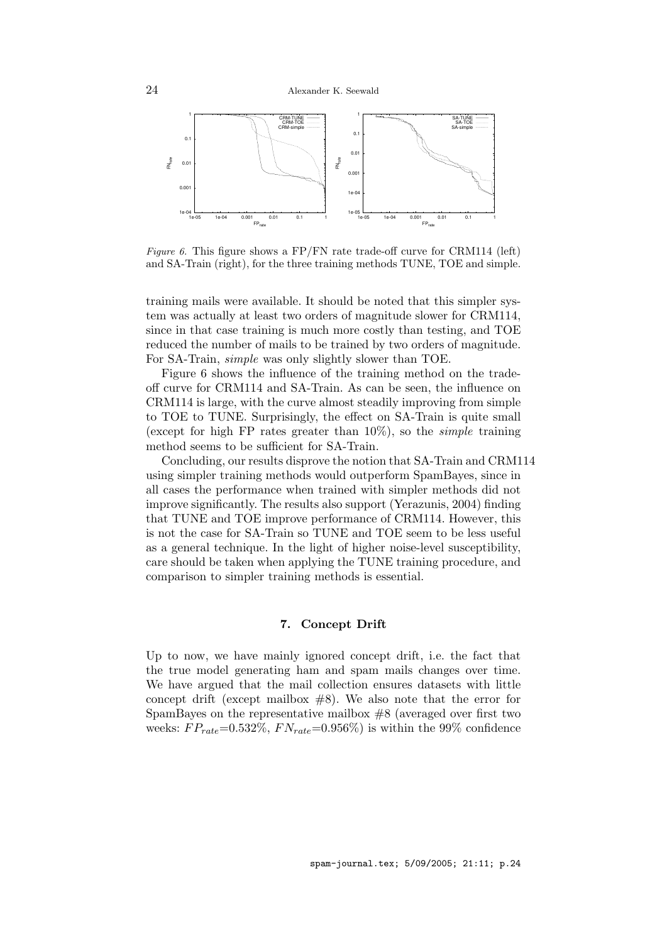

*Figure 6.* This figure shows a FP/FN rate trade-off curve for CRM114 (left) and SA-Train (right), for the three training methods TUNE, TOE and simple.

training mails were available. It should be noted that this simpler system was actually at least two orders of magnitude slower for CRM114, since in that case training is much more costly than testing, and TOE reduced the number of mails to be trained by two orders of magnitude. For SA-Train, simple was only slightly slower than TOE.

Figure 6 shows the influence of the training method on the tradeoff curve for CRM114 and SA-Train. As can be seen, the influence on CRM114 is large, with the curve almost steadily improving from simple to TOE to TUNE. Surprisingly, the effect on SA-Train is quite small (except for high FP rates greater than  $10\%$ ), so the *simple* training method seems to be sufficient for SA-Train.

Concluding, our results disprove the notion that SA-Train and CRM114 using simpler training methods would outperform SpamBayes, since in all cases the performance when trained with simpler methods did not improve significantly. The results also support (Yerazunis, 2004) finding that TUNE and TOE improve performance of CRM114. However, this is not the case for SA-Train so TUNE and TOE seem to be less useful as a general technique. In the light of higher noise-level susceptibility, care should be taken when applying the TUNE training procedure, and comparison to simpler training methods is essential.

# 7. Concept Drift

Up to now, we have mainly ignored concept drift, i.e. the fact that the true model generating ham and spam mails changes over time. We have argued that the mail collection ensures datasets with little concept drift (except mailbox  $#8$ ). We also note that the error for SpamBayes on the representative mailbox #8 (averaged over first two weeks:  $FP_{rate} = 0.532\%, FN_{rate} = 0.956\%$  is within the 99% confidence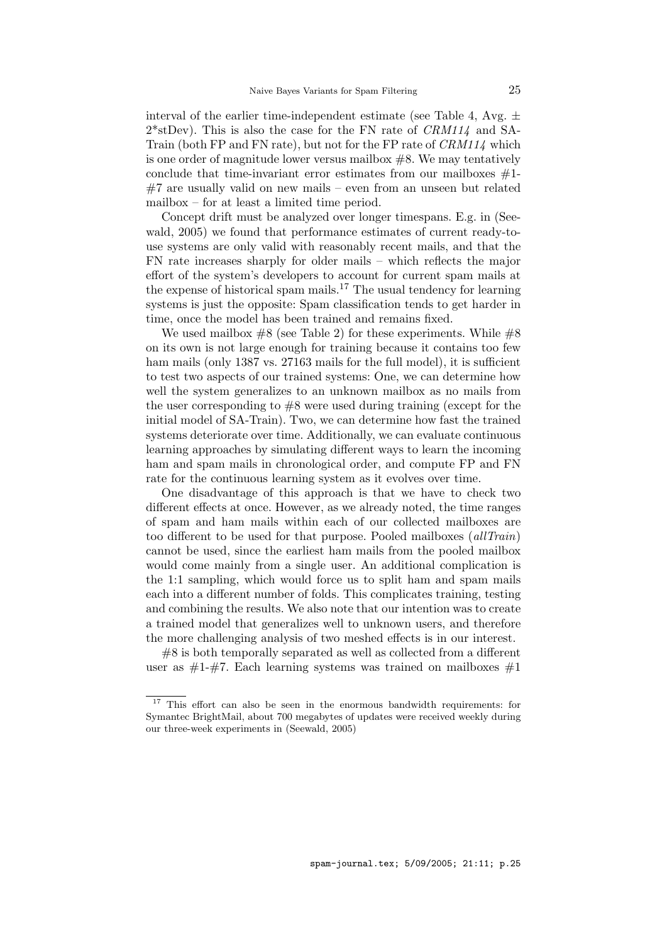interval of the earlier time-independent estimate (see Table 4, Avg.  $\pm$  $2*$ stDev). This is also the case for the FN rate of  $CRM114$  and SA-Train (both FP and FN rate), but not for the FP rate of CRM114 which is one order of magnitude lower versus mailbox  $#8$ . We may tentatively conclude that time-invariant error estimates from our mailboxes  $#1$ -#7 are usually valid on new mails – even from an unseen but related mailbox – for at least a limited time period.

Concept drift must be analyzed over longer timespans. E.g. in (Seewald, 2005) we found that performance estimates of current ready-touse systems are only valid with reasonably recent mails, and that the FN rate increases sharply for older mails – which reflects the major effort of the system's developers to account for current spam mails at the expense of historical spam mails.<sup>17</sup> The usual tendency for learning systems is just the opposite: Spam classification tends to get harder in time, once the model has been trained and remains fixed.

We used mailbox  $#8$  (see Table 2) for these experiments. While  $#8$ on its own is not large enough for training because it contains too few ham mails (only 1387 vs. 27163 mails for the full model), it is sufficient to test two aspects of our trained systems: One, we can determine how well the system generalizes to an unknown mailbox as no mails from the user corresponding to  $#8$  were used during training (except for the initial model of SA-Train). Two, we can determine how fast the trained systems deteriorate over time. Additionally, we can evaluate continuous learning approaches by simulating different ways to learn the incoming ham and spam mails in chronological order, and compute FP and FN rate for the continuous learning system as it evolves over time.

One disadvantage of this approach is that we have to check two different effects at once. However, as we already noted, the time ranges of spam and ham mails within each of our collected mailboxes are too different to be used for that purpose. Pooled mailboxes (allTrain) cannot be used, since the earliest ham mails from the pooled mailbox would come mainly from a single user. An additional complication is the 1:1 sampling, which would force us to split ham and spam mails each into a different number of folds. This complicates training, testing and combining the results. We also note that our intention was to create a trained model that generalizes well to unknown users, and therefore the more challenging analysis of two meshed effects is in our interest.

#8 is both temporally separated as well as collected from a different user as  $\#1-\#7$ . Each learning systems was trained on mailboxes  $\#1$ 

<sup>&</sup>lt;sup>17</sup> This effort can also be seen in the enormous bandwidth requirements: for Symantec BrightMail, about 700 megabytes of updates were received weekly during our three-week experiments in (Seewald, 2005)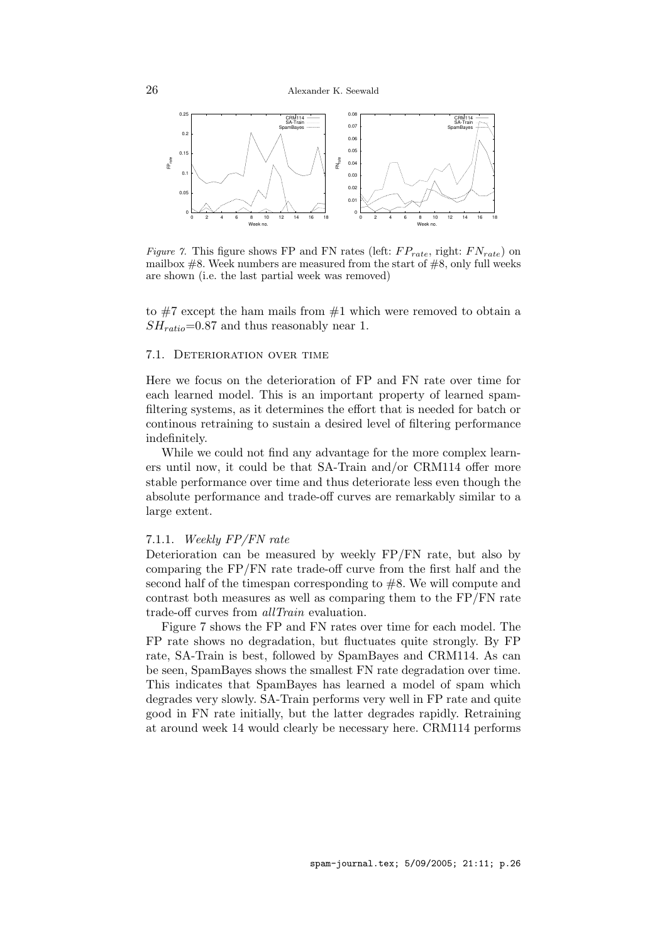

Figure 7. This figure shows FP and FN rates (left:  $FP_{rate}$ , right:  $FN_{rate}$ ) on mailbox  $#8$ . Week numbers are measured from the start of  $#8$ , only full weeks are shown (i.e. the last partial week was removed)

to  $#7$  except the ham mails from  $#1$  which were removed to obtain a  $SH_{ratio}=0.87$  and thus reasonably near 1.

## 7.1. Deterioration over time

Here we focus on the deterioration of FP and FN rate over time for each learned model. This is an important property of learned spamfiltering systems, as it determines the effort that is needed for batch or continous retraining to sustain a desired level of filtering performance indefinitely.

While we could not find any advantage for the more complex learners until now, it could be that SA-Train and/or CRM114 offer more stable performance over time and thus deteriorate less even though the absolute performance and trade-off curves are remarkably similar to a large extent.

## 7.1.1. Weekly FP/FN rate

Deterioration can be measured by weekly FP/FN rate, but also by comparing the FP/FN rate trade-off curve from the first half and the second half of the timespan corresponding to #8. We will compute and contrast both measures as well as comparing them to the FP/FN rate trade-off curves from allTrain evaluation.

Figure 7 shows the FP and FN rates over time for each model. The FP rate shows no degradation, but fluctuates quite strongly. By FP rate, SA-Train is best, followed by SpamBayes and CRM114. As can be seen, SpamBayes shows the smallest FN rate degradation over time. This indicates that SpamBayes has learned a model of spam which degrades very slowly. SA-Train performs very well in FP rate and quite good in FN rate initially, but the latter degrades rapidly. Retraining at around week 14 would clearly be necessary here. CRM114 performs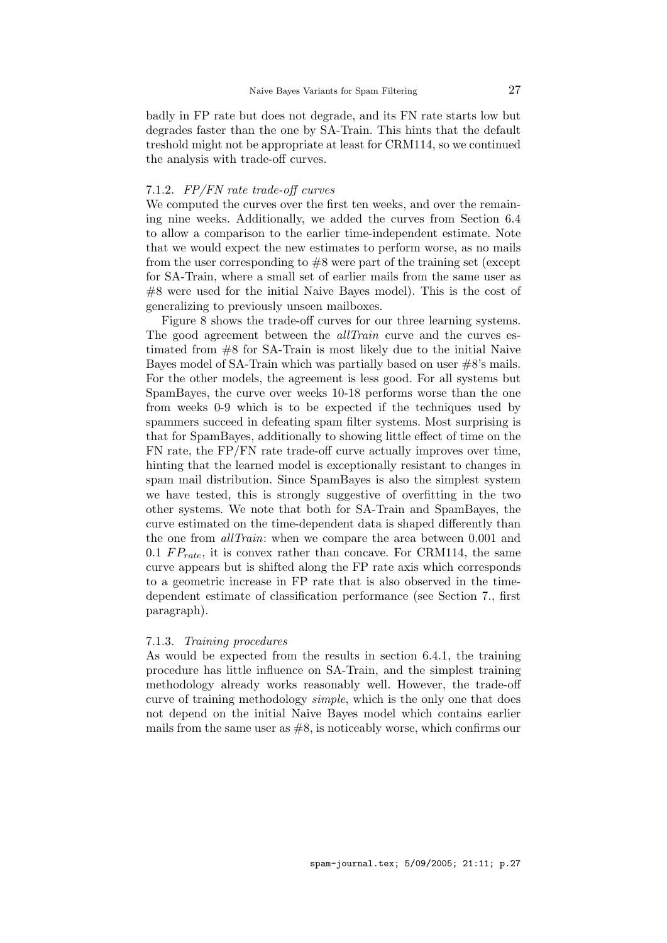badly in FP rate but does not degrade, and its FN rate starts low but degrades faster than the one by SA-Train. This hints that the default treshold might not be appropriate at least for CRM114, so we continued the analysis with trade-off curves.

### 7.1.2. FP/FN rate trade-off curves

We computed the curves over the first ten weeks, and over the remaining nine weeks. Additionally, we added the curves from Section 6.4 to allow a comparison to the earlier time-independent estimate. Note that we would expect the new estimates to perform worse, as no mails from the user corresponding to #8 were part of the training set (except for SA-Train, where a small set of earlier mails from the same user as #8 were used for the initial Naive Bayes model). This is the cost of generalizing to previously unseen mailboxes.

Figure 8 shows the trade-off curves for our three learning systems. The good agreement between the *allTrain* curve and the curves estimated from #8 for SA-Train is most likely due to the initial Naive Bayes model of SA-Train which was partially based on user #8's mails. For the other models, the agreement is less good. For all systems but SpamBayes, the curve over weeks 10-18 performs worse than the one from weeks 0-9 which is to be expected if the techniques used by spammers succeed in defeating spam filter systems. Most surprising is that for SpamBayes, additionally to showing little effect of time on the FN rate, the FP/FN rate trade-off curve actually improves over time, hinting that the learned model is exceptionally resistant to changes in spam mail distribution. Since SpamBayes is also the simplest system we have tested, this is strongly suggestive of overfitting in the two other systems. We note that both for SA-Train and SpamBayes, the curve estimated on the time-dependent data is shaped differently than the one from *allTrain*: when we compare the area between 0.001 and 0.1  $FP_{rate}$ , it is convex rather than concave. For CRM114, the same curve appears but is shifted along the FP rate axis which corresponds to a geometric increase in FP rate that is also observed in the timedependent estimate of classification performance (see Section 7., first paragraph).

#### 7.1.3. Training procedures

As would be expected from the results in section 6.4.1, the training procedure has little influence on SA-Train, and the simplest training methodology already works reasonably well. However, the trade-off curve of training methodology *simple*, which is the only one that does not depend on the initial Naive Bayes model which contains earlier mails from the same user as  $#8$ , is noticeably worse, which confirms our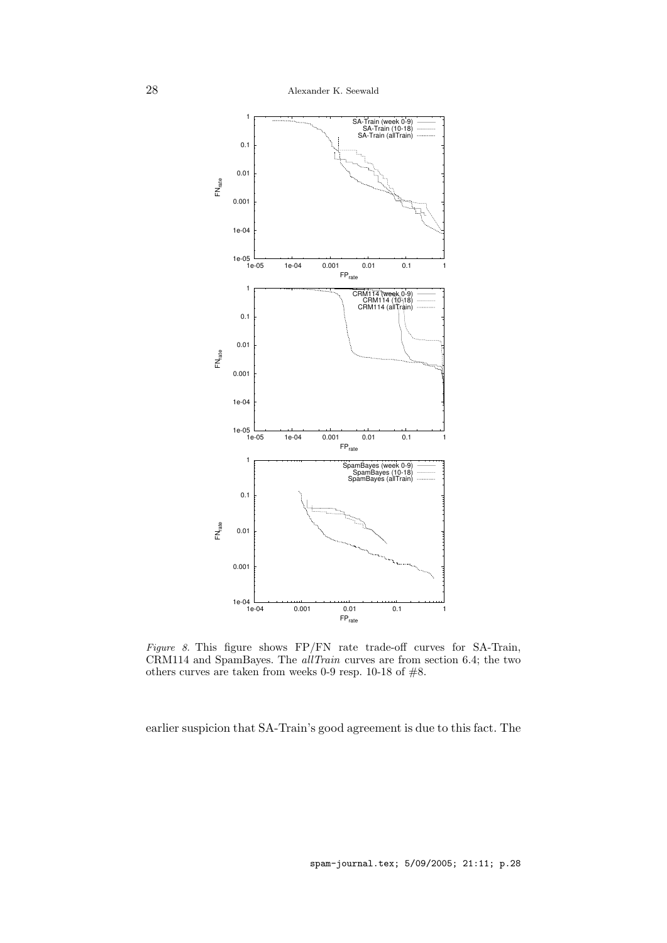

Figure 8. This figure shows FP/FN rate trade-off curves for SA-Train, CRM114 and SpamBayes. The allTrain curves are from section 6.4; the two others curves are taken from weeks 0-9 resp. 10-18 of #8.

earlier suspicion that SA-Train's good agreement is due to this fact. The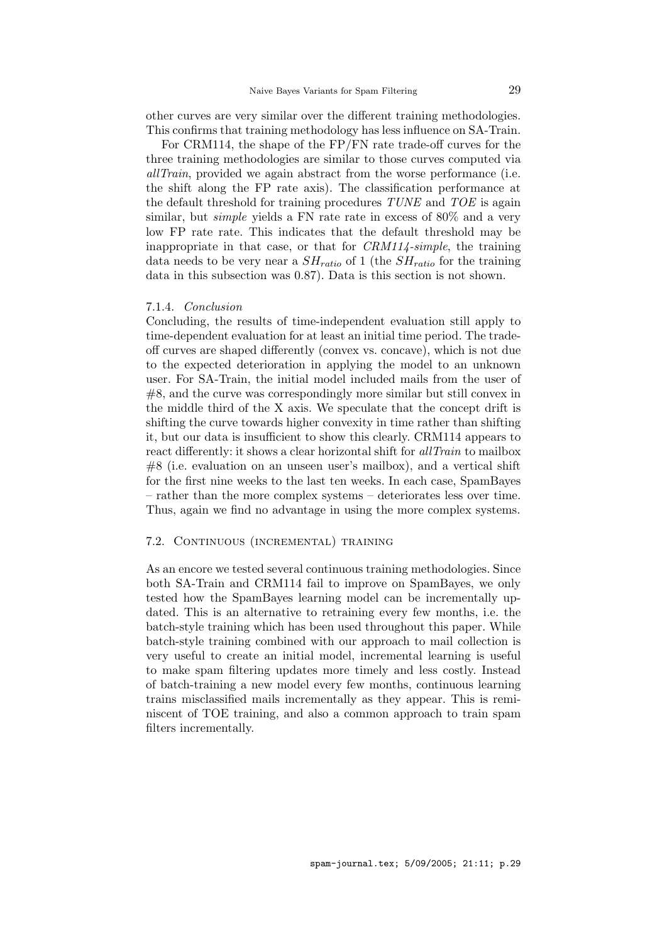other curves are very similar over the different training methodologies. This confirms that training methodology has less influence on SA-Train.

For CRM114, the shape of the FP/FN rate trade-off curves for the three training methodologies are similar to those curves computed via allTrain, provided we again abstract from the worse performance (i.e. the shift along the FP rate axis). The classification performance at the default threshold for training procedures  $TUNE$  and  $TOE$  is again similar, but *simple* yields a FN rate rate in excess of  $80\%$  and a very low FP rate rate. This indicates that the default threshold may be inappropriate in that case, or that for CRM114-simple, the training data needs to be very near a  $SH_{ratio}$  of 1 (the  $SH_{ratio}$  for the training data in this subsection was 0.87). Data is this section is not shown.

# 7.1.4. Conclusion

Concluding, the results of time-independent evaluation still apply to time-dependent evaluation for at least an initial time period. The tradeoff curves are shaped differently (convex vs. concave), which is not due to the expected deterioration in applying the model to an unknown user. For SA-Train, the initial model included mails from the user of #8, and the curve was correspondingly more similar but still convex in the middle third of the X axis. We speculate that the concept drift is shifting the curve towards higher convexity in time rather than shifting it, but our data is insufficient to show this clearly. CRM114 appears to react differently: it shows a clear horizontal shift for *allTrain* to mailbox #8 (i.e. evaluation on an unseen user's mailbox), and a vertical shift for the first nine weeks to the last ten weeks. In each case, SpamBayes – rather than the more complex systems – deteriorates less over time. Thus, again we find no advantage in using the more complex systems.

# 7.2. Continuous (incremental) training

As an encore we tested several continuous training methodologies. Since both SA-Train and CRM114 fail to improve on SpamBayes, we only tested how the SpamBayes learning model can be incrementally updated. This is an alternative to retraining every few months, i.e. the batch-style training which has been used throughout this paper. While batch-style training combined with our approach to mail collection is very useful to create an initial model, incremental learning is useful to make spam filtering updates more timely and less costly. Instead of batch-training a new model every few months, continuous learning trains misclassified mails incrementally as they appear. This is reminiscent of TOE training, and also a common approach to train spam filters incrementally.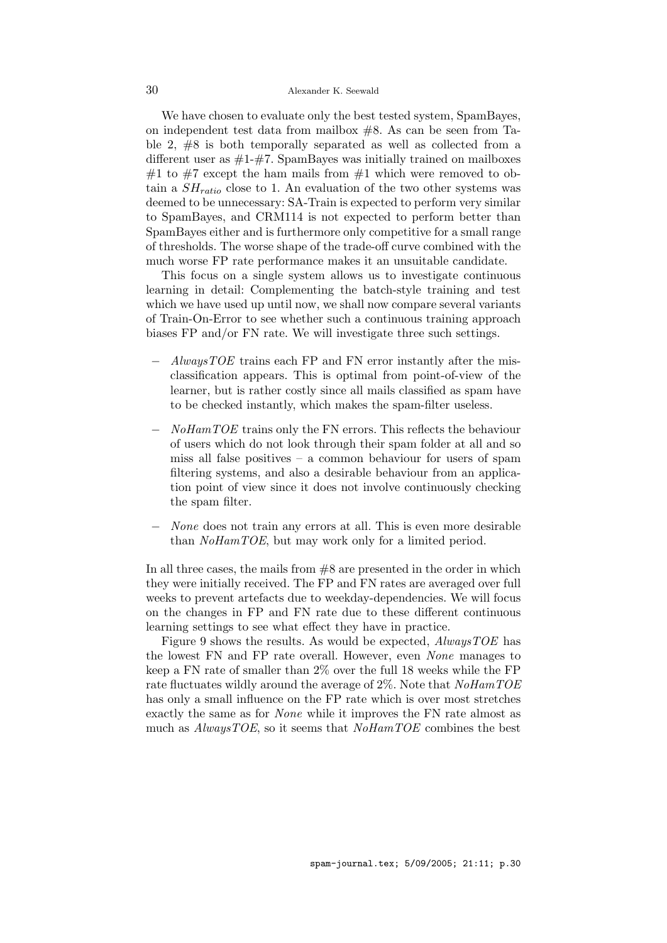We have chosen to evaluate only the best tested system, SpamBayes. on independent test data from mailbox #8. As can be seen from Table 2, #8 is both temporally separated as well as collected from a different user as  $\#1-\#7$ . SpamBayes was initially trained on mailboxes #1 to #7 except the ham mails from #1 which were removed to obtain a  $SH_{ratio}$  close to 1. An evaluation of the two other systems was deemed to be unnecessary: SA-Train is expected to perform very similar to SpamBayes, and CRM114 is not expected to perform better than SpamBayes either and is furthermore only competitive for a small range of thresholds. The worse shape of the trade-off curve combined with the much worse FP rate performance makes it an unsuitable candidate.

This focus on a single system allows us to investigate continuous learning in detail: Complementing the batch-style training and test which we have used up until now, we shall now compare several variants of Train-On-Error to see whether such a continuous training approach biases FP and/or FN rate. We will investigate three such settings.

- $AlwaysTOE$  trains each FP and FN error instantly after the misclassification appears. This is optimal from point-of-view of the learner, but is rather costly since all mails classified as spam have to be checked instantly, which makes the spam-filter useless.
- NoHamTOE trains only the FN errors. This reflects the behaviour of users which do not look through their spam folder at all and so miss all false positives – a common behaviour for users of spam filtering systems, and also a desirable behaviour from an application point of view since it does not involve continuously checking the spam filter.
- None does not train any errors at all. This is even more desirable than *NoHamTOE*, but may work only for a limited period.

In all three cases, the mails from  $#8$  are presented in the order in which they were initially received. The FP and FN rates are averaged over full weeks to prevent artefacts due to weekday-dependencies. We will focus on the changes in FP and FN rate due to these different continuous learning settings to see what effect they have in practice.

Figure 9 shows the results. As would be expected, AlwaysTOE has the lowest FN and FP rate overall. However, even None manages to keep a FN rate of smaller than 2% over the full 18 weeks while the FP rate fluctuates wildly around the average of 2%. Note that  $NoHamTOE$ has only a small influence on the FP rate which is over most stretches exactly the same as for None while it improves the FN rate almost as much as  $AlwaysTOE$ , so it seems that  $NoHamTOE$  combines the best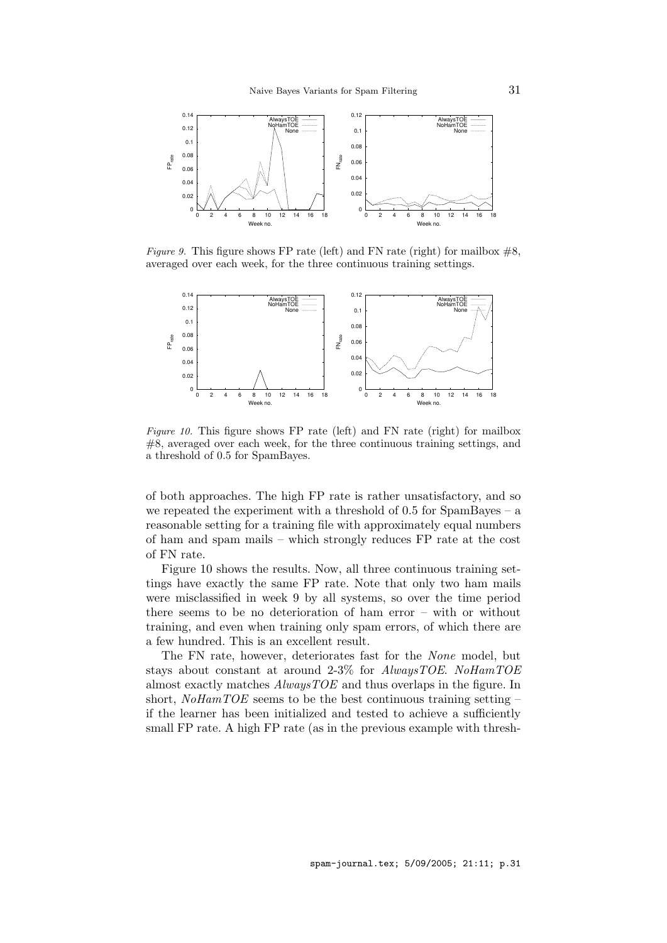

*Figure 9.* This figure shows FP rate (left) and FN rate (right) for mailbox  $\#8$ . averaged over each week, for the three continuous training settings.



Figure 10. This figure shows FP rate (left) and FN rate (right) for mailbox  $#8$ , averaged over each week, for the three continuous training settings, and a threshold of 0.5 for SpamBayes.

of both approaches. The high FP rate is rather unsatisfactory, and so we repeated the experiment with a threshold of 0.5 for SpamBayes – a reasonable setting for a training file with approximately equal numbers of ham and spam mails – which strongly reduces FP rate at the cost of FN rate.

Figure 10 shows the results. Now, all three continuous training settings have exactly the same FP rate. Note that only two ham mails were misclassified in week 9 by all systems, so over the time period there seems to be no deterioration of ham error – with or without training, and even when training only spam errors, of which there are a few hundred. This is an excellent result.

The FN rate, however, deteriorates fast for the None model, but stays about constant at around 2-3% for AlwaysTOE. NoHamTOE almost exactly matches AlwaysTOE and thus overlaps in the figure. In short,  $NoHamTOE$  seems to be the best continuous training setting – if the learner has been initialized and tested to achieve a sufficiently small FP rate. A high FP rate (as in the previous example with thresh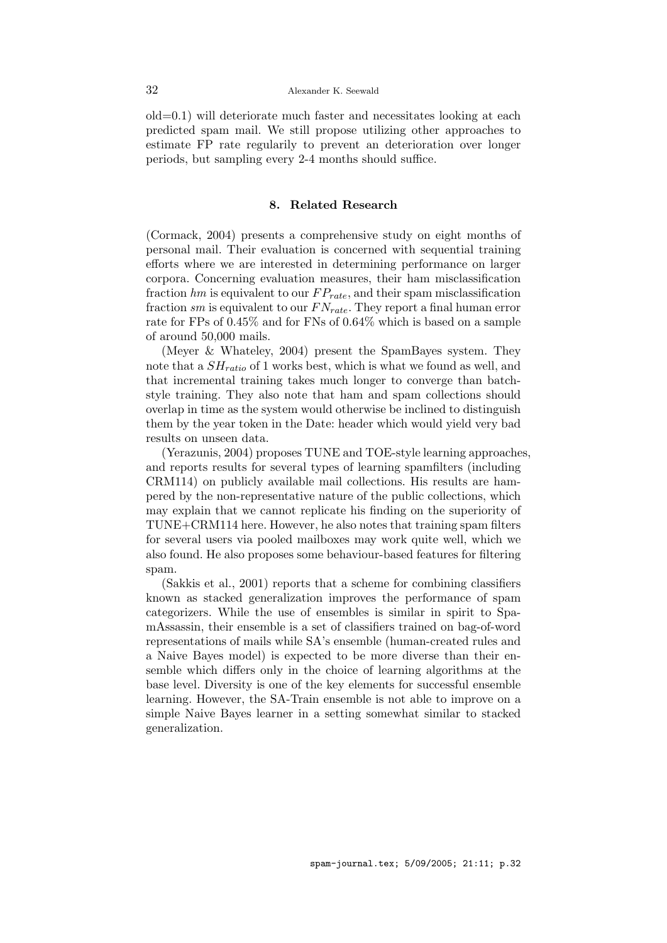old=0.1) will deteriorate much faster and necessitates looking at each predicted spam mail. We still propose utilizing other approaches to estimate FP rate regularily to prevent an deterioration over longer periods, but sampling every 2-4 months should suffice.

# 8. Related Research

(Cormack, 2004) presents a comprehensive study on eight months of personal mail. Their evaluation is concerned with sequential training efforts where we are interested in determining performance on larger corpora. Concerning evaluation measures, their ham misclassification fraction  $hm$  is equivalent to our  $FP_{rate}$ , and their spam misclassification fraction sm is equivalent to our  $FN_{rate}$ . They report a final human error rate for FPs of 0.45% and for FNs of 0.64% which is based on a sample of around 50,000 mails.

(Meyer & Whateley, 2004) present the SpamBayes system. They note that a  $SH_{ratio}$  of 1 works best, which is what we found as well, and that incremental training takes much longer to converge than batchstyle training. They also note that ham and spam collections should overlap in time as the system would otherwise be inclined to distinguish them by the year token in the Date: header which would yield very bad results on unseen data.

(Yerazunis, 2004) proposes TUNE and TOE-style learning approaches, and reports results for several types of learning spamfilters (including CRM114) on publicly available mail collections. His results are hampered by the non-representative nature of the public collections, which may explain that we cannot replicate his finding on the superiority of TUNE+CRM114 here. However, he also notes that training spam filters for several users via pooled mailboxes may work quite well, which we also found. He also proposes some behaviour-based features for filtering spam.

(Sakkis et al., 2001) reports that a scheme for combining classifiers known as stacked generalization improves the performance of spam categorizers. While the use of ensembles is similar in spirit to SpamAssassin, their ensemble is a set of classifiers trained on bag-of-word representations of mails while SA's ensemble (human-created rules and a Naive Bayes model) is expected to be more diverse than their ensemble which differs only in the choice of learning algorithms at the base level. Diversity is one of the key elements for successful ensemble learning. However, the SA-Train ensemble is not able to improve on a simple Naive Bayes learner in a setting somewhat similar to stacked generalization.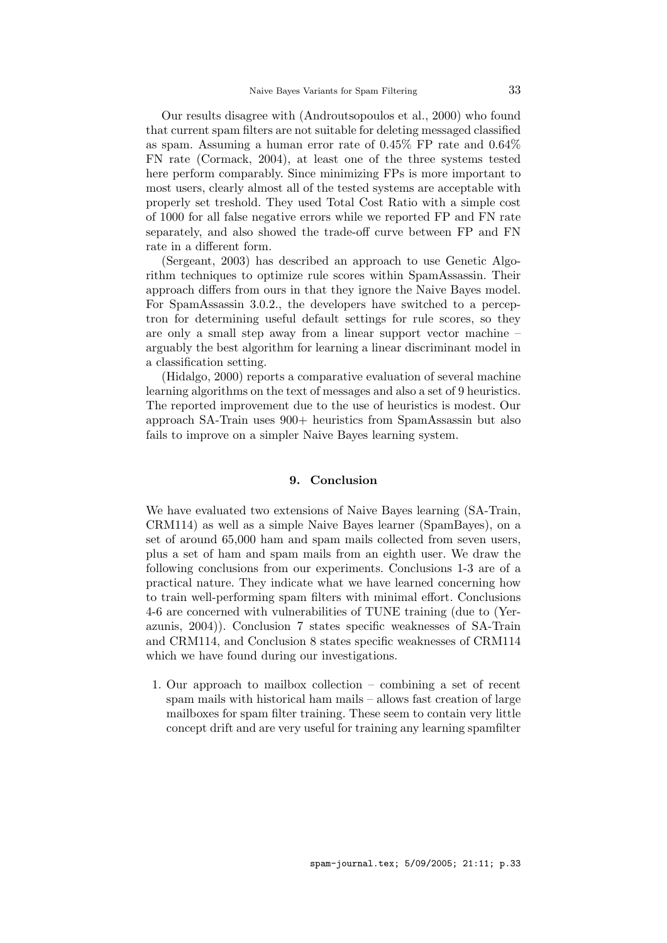Our results disagree with (Androutsopoulos et al., 2000) who found that current spam filters are not suitable for deleting messaged classified as spam. Assuming a human error rate of 0.45% FP rate and 0.64% FN rate (Cormack, 2004), at least one of the three systems tested here perform comparably. Since minimizing FPs is more important to most users, clearly almost all of the tested systems are acceptable with properly set treshold. They used Total Cost Ratio with a simple cost of 1000 for all false negative errors while we reported FP and FN rate separately, and also showed the trade-off curve between FP and FN rate in a different form.

(Sergeant, 2003) has described an approach to use Genetic Algorithm techniques to optimize rule scores within SpamAssassin. Their approach differs from ours in that they ignore the Naive Bayes model. For SpamAssassin 3.0.2., the developers have switched to a perceptron for determining useful default settings for rule scores, so they are only a small step away from a linear support vector machine – arguably the best algorithm for learning a linear discriminant model in a classification setting.

(Hidalgo, 2000) reports a comparative evaluation of several machine learning algorithms on the text of messages and also a set of 9 heuristics. The reported improvement due to the use of heuristics is modest. Our approach SA-Train uses 900+ heuristics from SpamAssassin but also fails to improve on a simpler Naive Bayes learning system.

## 9. Conclusion

We have evaluated two extensions of Naive Bayes learning (SA-Train, CRM114) as well as a simple Naive Bayes learner (SpamBayes), on a set of around 65,000 ham and spam mails collected from seven users, plus a set of ham and spam mails from an eighth user. We draw the following conclusions from our experiments. Conclusions 1-3 are of a practical nature. They indicate what we have learned concerning how to train well-performing spam filters with minimal effort. Conclusions 4-6 are concerned with vulnerabilities of TUNE training (due to (Yerazunis, 2004)). Conclusion 7 states specific weaknesses of SA-Train and CRM114, and Conclusion 8 states specific weaknesses of CRM114 which we have found during our investigations.

1. Our approach to mailbox collection – combining a set of recent spam mails with historical ham mails – allows fast creation of large mailboxes for spam filter training. These seem to contain very little concept drift and are very useful for training any learning spamfilter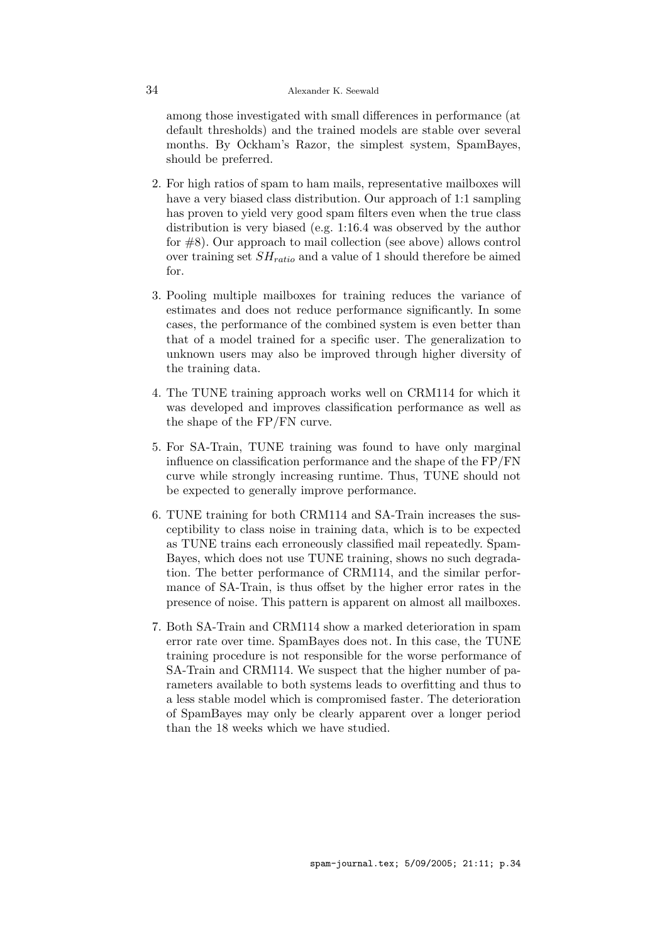among those investigated with small differences in performance (at default thresholds) and the trained models are stable over several months. By Ockham's Razor, the simplest system, SpamBayes, should be preferred.

- 2. For high ratios of spam to ham mails, representative mailboxes will have a very biased class distribution. Our approach of 1:1 sampling has proven to yield very good spam filters even when the true class distribution is very biased (e.g. 1:16.4 was observed by the author for #8). Our approach to mail collection (see above) allows control over training set  $SH_{ratio}$  and a value of 1 should therefore be aimed for.
- 3. Pooling multiple mailboxes for training reduces the variance of estimates and does not reduce performance significantly. In some cases, the performance of the combined system is even better than that of a model trained for a specific user. The generalization to unknown users may also be improved through higher diversity of the training data.
- 4. The TUNE training approach works well on CRM114 for which it was developed and improves classification performance as well as the shape of the FP/FN curve.
- 5. For SA-Train, TUNE training was found to have only marginal influence on classification performance and the shape of the FP/FN curve while strongly increasing runtime. Thus, TUNE should not be expected to generally improve performance.
- 6. TUNE training for both CRM114 and SA-Train increases the susceptibility to class noise in training data, which is to be expected as TUNE trains each erroneously classified mail repeatedly. Spam-Bayes, which does not use TUNE training, shows no such degradation. The better performance of CRM114, and the similar performance of SA-Train, is thus offset by the higher error rates in the presence of noise. This pattern is apparent on almost all mailboxes.
- 7. Both SA-Train and CRM114 show a marked deterioration in spam error rate over time. SpamBayes does not. In this case, the TUNE training procedure is not responsible for the worse performance of SA-Train and CRM114. We suspect that the higher number of parameters available to both systems leads to overfitting and thus to a less stable model which is compromised faster. The deterioration of SpamBayes may only be clearly apparent over a longer period than the 18 weeks which we have studied.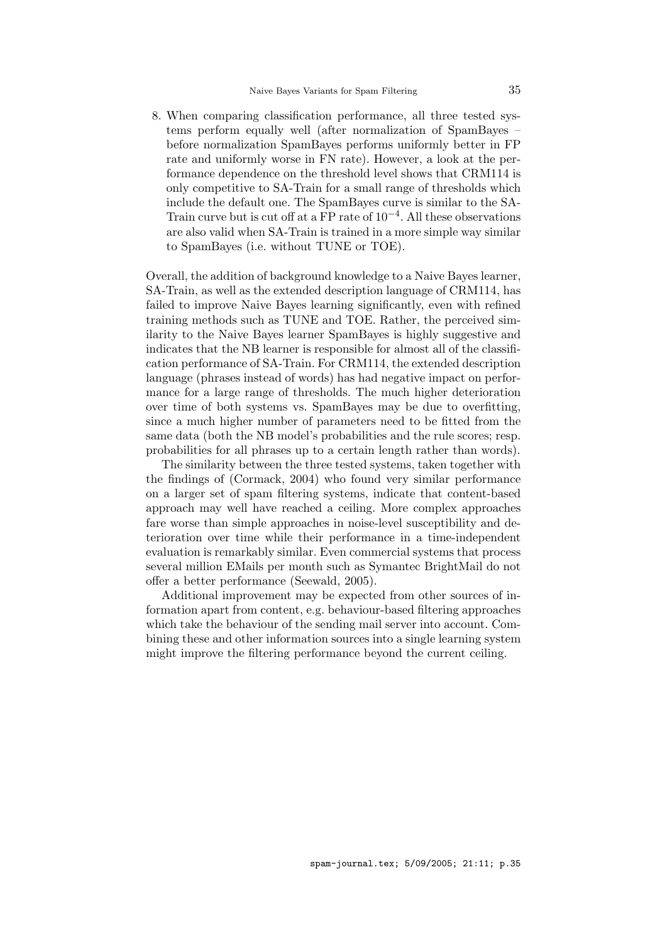8. When comparing classification performance, all three tested systems perform equally well (after normalization of SpamBayes – before normalization SpamBayes performs uniformly better in FP rate and uniformly worse in FN rate). However, a look at the performance dependence on the threshold level shows that CRM114 is only competitive to SA-Train for a small range of thresholds which include the default one. The SpamBayes curve is similar to the SA-Train curve but is cut off at a FP rate of  $10^{-4}$ . All these observations are also valid when SA-Train is trained in a more simple way similar to SpamBayes (i.e. without TUNE or TOE).

Overall, the addition of background knowledge to a Naive Bayes learner, SA-Train, as well as the extended description language of CRM114, has failed to improve Naive Bayes learning significantly, even with refined training methods such as TUNE and TOE. Rather, the perceived similarity to the Naive Bayes learner SpamBayes is highly suggestive and indicates that the NB learner is responsible for almost all of the classification performance of SA-Train. For CRM114, the extended description language (phrases instead of words) has had negative impact on performance for a large range of thresholds. The much higher deterioration over time of both systems vs. SpamBayes may be due to overfitting, since a much higher number of parameters need to be fitted from the same data (both the NB model's probabilities and the rule scores; resp. probabilities for all phrases up to a certain length rather than words).

The similarity between the three tested systems, taken together with the findings of (Cormack, 2004) who found very similar performance on a larger set of spam filtering systems, indicate that content-based approach may well have reached a ceiling. More complex approaches fare worse than simple approaches in noise-level susceptibility and deterioration over time while their performance in a time-independent evaluation is remarkably similar. Even commercial systems that process several million EMails per month such as Symantec BrightMail do not offer a better performance (Seewald, 2005).

Additional improvement may be expected from other sources of information apart from content, e.g. behaviour-based filtering approaches which take the behaviour of the sending mail server into account. Combining these and other information sources into a single learning system might improve the filtering performance beyond the current ceiling.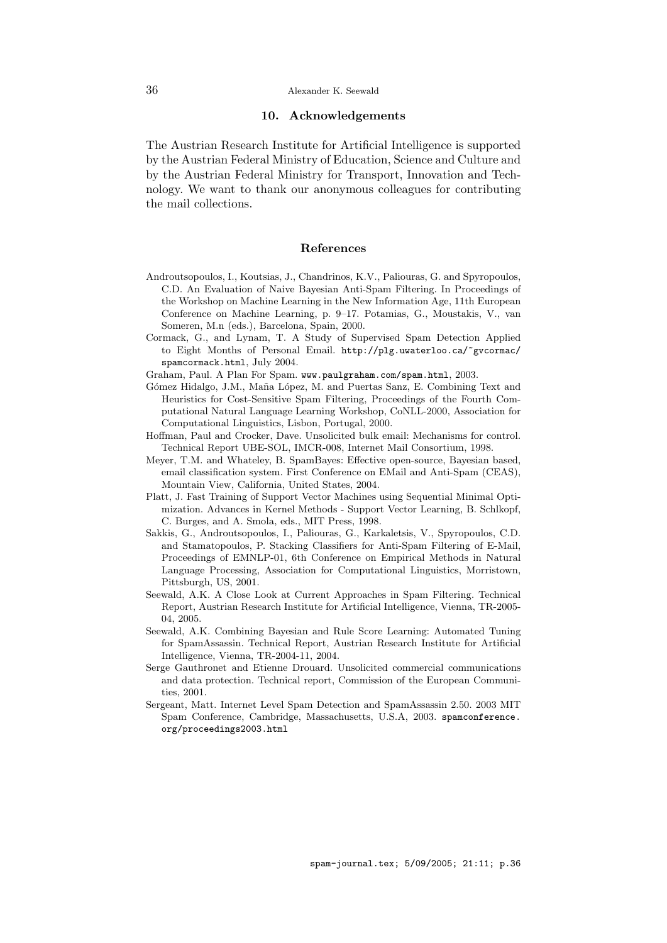#### 10. Acknowledgements

The Austrian Research Institute for Artificial Intelligence is supported by the Austrian Federal Ministry of Education, Science and Culture and by the Austrian Federal Ministry for Transport, Innovation and Technology. We want to thank our anonymous colleagues for contributing the mail collections.

#### References

- Androutsopoulos, I., Koutsias, J., Chandrinos, K.V., Paliouras, G. and Spyropoulos, C.D. An Evaluation of Naive Bayesian Anti-Spam Filtering. In Proceedings of the Workshop on Machine Learning in the New Information Age, 11th European Conference on Machine Learning, p. 9–17. Potamias, G., Moustakis, V., van Someren, M.n (eds.), Barcelona, Spain, 2000.
- Cormack, G., and Lynam, T. A Study of Supervised Spam Detection Applied to Eight Months of Personal Email. http://plg.uwaterloo.ca/~gvcormac/ spamcormack.html, July 2004.
- Graham, Paul. A Plan For Spam. www.paulgraham.com/spam.html, 2003.
- Gómez Hidalgo, J.M., Maña López, M. and Puertas Sanz, E. Combining Text and Heuristics for Cost-Sensitive Spam Filtering, Proceedings of the Fourth Computational Natural Language Learning Workshop, CoNLL-2000, Association for Computational Linguistics, Lisbon, Portugal, 2000.
- Hoffman, Paul and Crocker, Dave. Unsolicited bulk email: Mechanisms for control. Technical Report UBE-SOL, IMCR-008, Internet Mail Consortium, 1998.
- Meyer, T.M. and Whateley, B. SpamBayes: Effective open-source, Bayesian based, email classification system. First Conference on EMail and Anti-Spam (CEAS), Mountain View, California, United States, 2004.
- Platt, J. Fast Training of Support Vector Machines using Sequential Minimal Optimization. Advances in Kernel Methods - Support Vector Learning, B. Schlkopf, C. Burges, and A. Smola, eds., MIT Press, 1998.
- Sakkis, G., Androutsopoulos, I., Paliouras, G., Karkaletsis, V., Spyropoulos, C.D. and Stamatopoulos, P. Stacking Classifiers for Anti-Spam Filtering of E-Mail, Proceedings of EMNLP-01, 6th Conference on Empirical Methods in Natural Language Processing, Association for Computational Linguistics, Morristown, Pittsburgh, US, 2001.
- Seewald, A.K. A Close Look at Current Approaches in Spam Filtering. Technical Report, Austrian Research Institute for Artificial Intelligence, Vienna, TR-2005- 04, 2005.
- Seewald, A.K. Combining Bayesian and Rule Score Learning: Automated Tuning for SpamAssassin. Technical Report, Austrian Research Institute for Artificial Intelligence, Vienna, TR-2004-11, 2004.
- Serge Gauthronet and Etienne Drouard. Unsolicited commercial communications and data protection. Technical report, Commission of the European Communities, 2001.
- Sergeant, Matt. Internet Level Spam Detection and SpamAssassin 2.50. 2003 MIT Spam Conference, Cambridge, Massachusetts, U.S.A, 2003. spamconference. org/proceedings2003.html